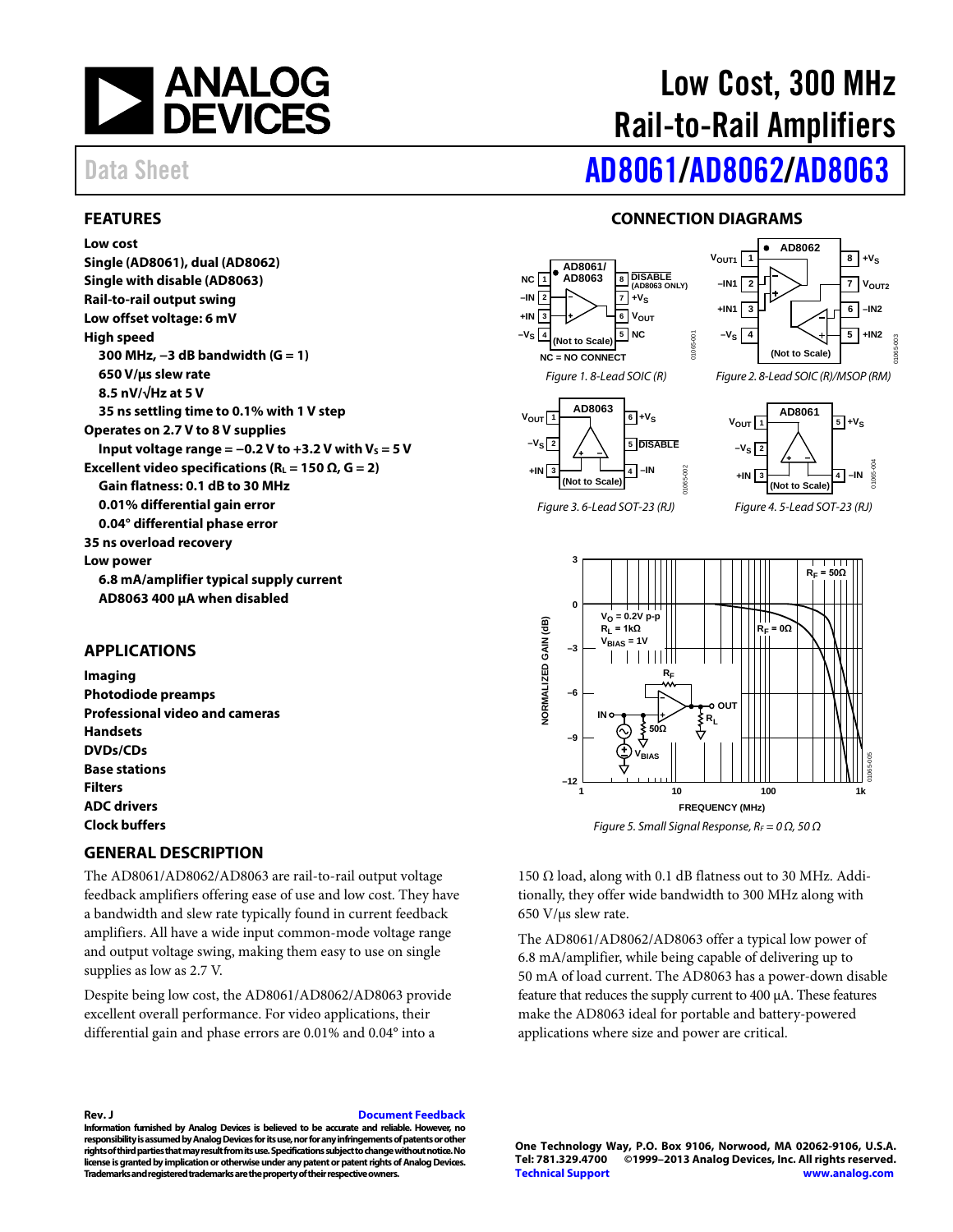

#### <span id="page-0-0"></span>**FEATURES**

#### **Low cost**

**Single (AD8061), dual (AD8062) Single with disable (AD8063) Rail-to-rail output swing Low offset voltage: 6 mV High speed 300 MHz, −3 dB bandwidth (G = 1) 650 V/µs slew rate 8.5 nV/√Hz at 5 V 35 ns settling time to 0.1% with 1 V step Operates on 2.7 V to 8 V supplies Input voltage range =**  $-0.2$  **V to**  $+3.2$  **V with**  $V_s = 5$  **V Excellent video specifications (** $R_L$  **= 150**  $\Omega$ **, G = 2) Gain flatness: 0.1 dB to 30 MHz 0.01% differential gain error 0.04° differential phase error 35 ns overload recovery Low power 6.8 mA/amplifier typical supply current AD8063 400 µA when disabled**

#### <span id="page-0-1"></span>**APPLICATIONS**

**Imaging Photodiode preamps Professional video and cameras Handsets DVDs/CDs Base stations Filters ADC drivers Clock buffers**

#### <span id="page-0-3"></span>**GENERAL DESCRIPTION**

The AD8061/AD8062/AD8063 are rail-to-rail output voltage feedback amplifiers offering ease of use and low cost. They have a bandwidth and slew rate typically found in current feedback amplifiers. All have a wide input common-mode voltage range and output voltage swing, making them easy to use on single supplies as low as 2.7 V.

Despite being low cost, the AD8061/AD8062/AD8063 provide excellent overall performance. For video applications, their differential gain and phase errors are 0.01% and 0.04° into a

#### **Rev. J [Document Feedback](https://form.analog.com/Form_Pages/feedback/documentfeedback.aspx?doc=AD8061_8062_8063.pdf&product=AD8061%20AD8062%20AD8063&rev=J)**

**Information furnished by Analog Devices is believed to be accurate and reliable. However, no responsibility is assumed by Analog Devices for its use, nor for any infringements of patents or other rights of third parties that may result from its use. Specifications subject to change without notice. No license is granted by implication or otherwise under any patent or patent rights of Analog Devices. Trademarks and registered trademarks are the property of their respective owners.**

# Low Cost, 300 MHz Rail-to-Rail Amplifiers

# Data Sheet **[AD8061](http://www.analog.com/AD8061?doc=AD8061.pdf)[/AD8062/](http://www.analog.com/AD8062?doc=AD8062.pdf)[AD8063](http://www.analog.com/AD8063?doc=AD8063.pdf)**

#### **CONNECTION DIAGRAMS**

<span id="page-0-2"></span>



*Figure 5. Small Signal Response, R<sub>F</sub> = 0 Ω, 50 Ω* 

150 Ω load, along with 0.1 dB flatness out to 30 MHz. Additionally, they offer wide bandwidth to 300 MHz along with 650 V/µs slew rate.

The AD8061/AD8062/AD8063 offer a typical low power of 6.8 mA/amplifier, while being capable of delivering up to 50 mA of load current. The AD8063 has a power-down disable feature that reduces the supply current to 400 µA. These features make the AD8063 ideal for portable and battery-powered applications where size and power are critical.

**One Technology Way, P.O. Box 9106, Norwood, MA 02062-9106, U.S.A. Tel: 781.329.4700 ©1999–2013 Analog Devices, Inc. All rights reserved. [Technical Support](http://www.analog.com/en/content/technical_support_page/fca.html) [www.analog.com](http://www.analog.com/)**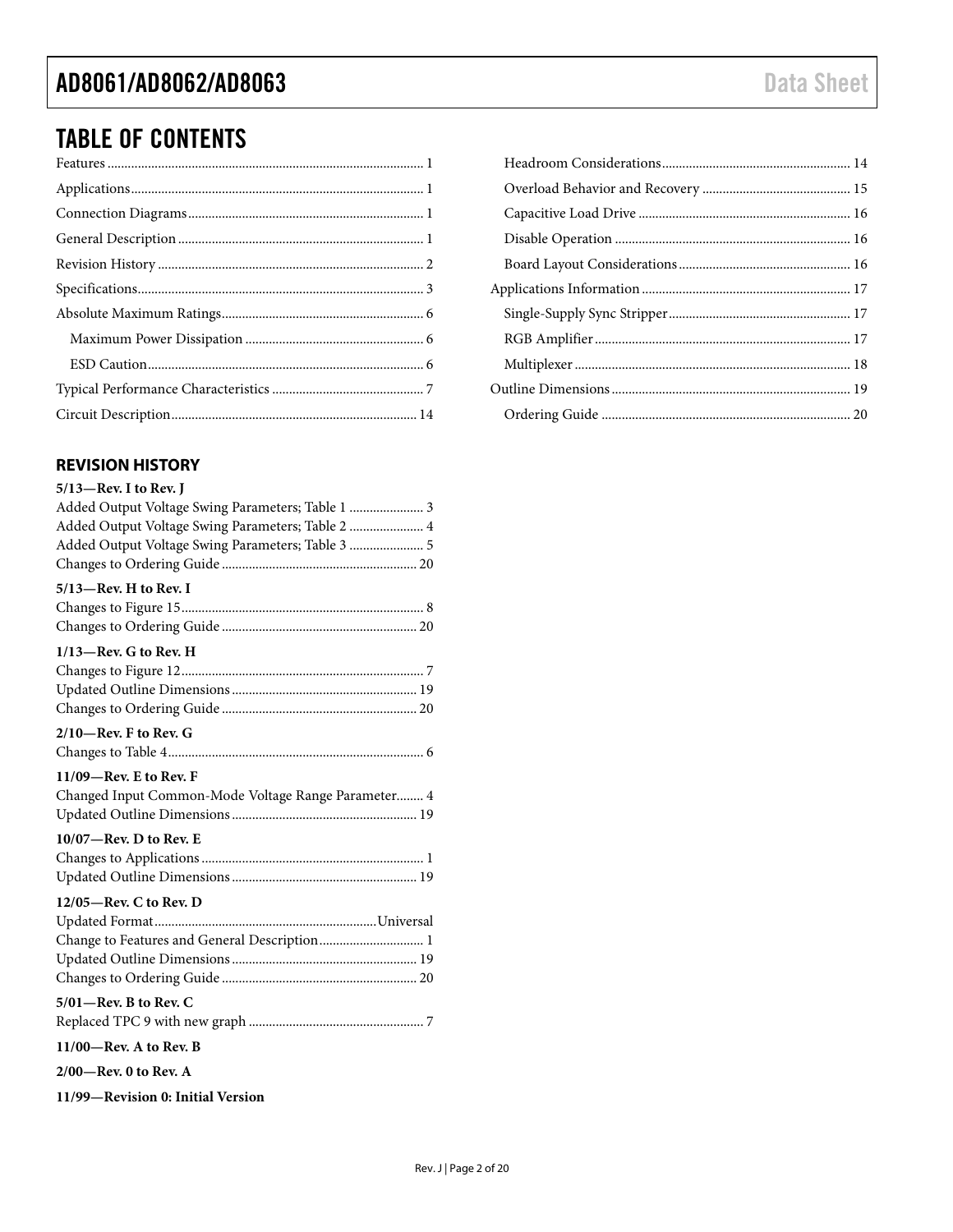### TABLE OF CONTENTS

### <span id="page-1-0"></span>**REVISION HISTORY**

| $5/13$ -Rev. I to Rev. J                            |
|-----------------------------------------------------|
| Added Output Voltage Swing Parameters; Table 1  3   |
| Added Output Voltage Swing Parameters; Table 2  4   |
| Added Output Voltage Swing Parameters; Table 3  5   |
|                                                     |
| $5/13$ -Rev. H to Rev. I                            |
|                                                     |
|                                                     |
| $1/13$ -Rev. G to Rev. H                            |
|                                                     |
|                                                     |
|                                                     |
| $2/10$ —Rev. F to Rev. G                            |
|                                                     |
|                                                     |
| $11/09$ –Rev. E to Rev. F                           |
| Changed Input Common-Mode Voltage Range Parameter 4 |
|                                                     |
| $10/07$ —Rev. D to Rev. E                           |
|                                                     |
|                                                     |
| 12/05-Rev. C to Rev. D                              |
|                                                     |
| Change to Features and General Description 1        |
|                                                     |
|                                                     |
| $5/01$ —Rev. B to Rev. C                            |
|                                                     |
| $11/00$ —Rev. A to Rev. B                           |
| $2/00$ —Rev. 0 to Rev. A                            |
| 11/99-Revision 0: Initial Version                   |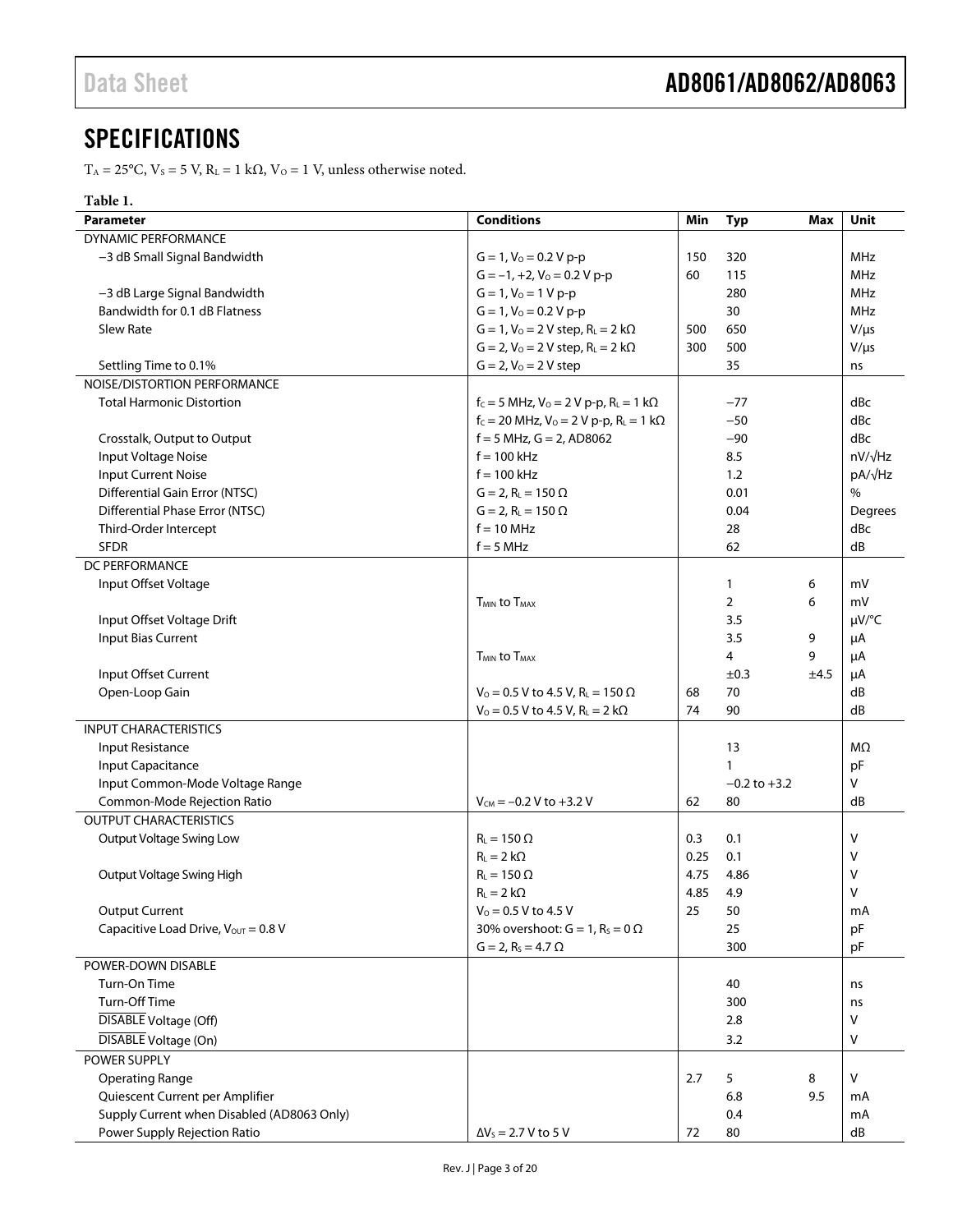### <span id="page-2-0"></span>**SPECIFICATIONS**

T<sub>A</sub> = 25°C, V<sub>S</sub> = 5 V, R<sub>L</sub> = 1 kΩ, V<sub>O</sub> = 1 V, unless otherwise noted.

### **Table 1.**

| <b>Parameter</b>                           | <b>Conditions</b>                                                                      | Min          | <b>Typ</b>       | Max  | Unit           |
|--------------------------------------------|----------------------------------------------------------------------------------------|--------------|------------------|------|----------------|
| <b>DYNAMIC PERFORMANCE</b>                 |                                                                                        |              |                  |      |                |
| -3 dB Small Signal Bandwidth               | $G = 1$ , $V_0 = 0.2 V p-p$                                                            | 150          | 320              |      | <b>MHz</b>     |
|                                            | $G = -1, +2, V_0 = 0.2 V p-p$                                                          | 60           | 115              |      | <b>MHz</b>     |
| -3 dB Large Signal Bandwidth               | $G = 1, V_0 = 1 V p-p$                                                                 |              | 280              |      | MHz            |
| Bandwidth for 0.1 dB Flatness              | $G = 1$ , $V_0 = 0.2 V p-p$                                                            |              | 30               |      | MHz            |
| <b>Slew Rate</b>                           | $G = 1$ , $V_0 = 2$ V step, $R_L = 2$ k $\Omega$                                       | 500          | 650              |      | $V/\mu s$      |
|                                            | $G = 2, V_0 = 2 V$ step, $R_L = 2 k\Omega$                                             | 300          | 500              |      | $V/\mu s$      |
| Settling Time to 0.1%                      | $G = 2, V_0 = 2 V$ step                                                                |              | 35               |      | ns             |
| NOISE/DISTORTION PERFORMANCE               |                                                                                        |              |                  |      |                |
| <b>Total Harmonic Distortion</b>           | $f_c = 5$ MHz, $V_o = 2$ V p-p, $R_l = 1$ k $\Omega$                                   |              | $-77$            |      | dBc            |
|                                            | $f_c = 20$ MHz, $V_0 = 2$ V p-p, $R_L = 1$ k $\Omega$                                  |              | $-50$            |      | dBc            |
| Crosstalk, Output to Output                | $f = 5$ MHz, $G = 2$ , AD8062                                                          |              | $-90$            |      | dBc            |
| Input Voltage Noise                        | $f = 100$ kHz                                                                          |              | 8.5              |      | $nV/\sqrt{Hz}$ |
| <b>Input Current Noise</b>                 | $f = 100$ kHz                                                                          |              | 1.2              |      | $pA/\sqrt{Hz}$ |
| Differential Gain Error (NTSC)             | $G = 2, R_{L} = 150 \Omega$                                                            |              | 0.01             |      | $\frac{0}{0}$  |
| Differential Phase Error (NTSC)            | $G = 2$ , $R_L = 150 \Omega$                                                           |              | 0.04             |      | Degrees        |
| Third-Order Intercept                      | $f = 10$ MHz                                                                           |              | 28               |      | dBc            |
| <b>SFDR</b>                                | $f = 5 MHz$                                                                            |              | 62               |      | dB             |
| DC PERFORMANCE                             |                                                                                        |              |                  |      |                |
| Input Offset Voltage                       |                                                                                        |              | $\mathbf{1}$     | 6    | mV             |
|                                            | <b>TMIN to TMAX</b>                                                                    |              | $\overline{2}$   | 6    | mV             |
| Input Offset Voltage Drift                 |                                                                                        |              | 3.5              |      | $\mu V$ /°C    |
| Input Bias Current                         |                                                                                        |              | 3.5              | 9    | μA             |
|                                            | <b>T<sub>MIN</sub></b> to T <sub>MAX</sub>                                             |              | 4                | 9    | μA             |
| Input Offset Current                       |                                                                                        |              | $\pm 0.3$        | ±4.5 | μA             |
| Open-Loop Gain                             | $V_0 = 0.5$ V to 4.5 V, R <sub>L</sub> = 150 $\Omega$                                  | 68           | 70               |      | dB             |
|                                            | $V_0 = 0.5 V$ to 4.5 V, R <sub>L</sub> = 2 k $\Omega$                                  | 74           | 90               |      | dB             |
| <b>INPUT CHARACTERISTICS</b>               |                                                                                        |              |                  |      |                |
| <b>Input Resistance</b>                    |                                                                                        |              | 13               |      | MΩ             |
| Input Capacitance                          |                                                                                        |              |                  |      | pF             |
| Input Common-Mode Voltage Range            |                                                                                        |              | $-0.2$ to $+3.2$ |      | V              |
| Common-Mode Rejection Ratio                | $V_{CM} = -0.2 V$ to +3.2 V                                                            | 62           | 80               |      | dB             |
| <b>OUTPUT CHARACTERISTICS</b>              |                                                                                        |              |                  |      |                |
| Output Voltage Swing Low                   | $R_L = 150 \Omega$                                                                     | 0.3          | 0.1              |      | v              |
|                                            | $R_L = 2 k\Omega$                                                                      |              | 0.1              |      | V              |
| Output Voltage Swing High                  | $R_L = 150 \Omega$                                                                     | 0.25<br>4.75 |                  |      |                |
|                                            |                                                                                        | 4.85         | 4.86<br>4.9      |      | ٧<br>V         |
|                                            | $R_L = 2 k\Omega$                                                                      |              |                  |      |                |
| <b>Output Current</b>                      | $V_0 = 0.5 V$ to 4.5 V                                                                 | 25           | 50               |      | mA             |
| Capacitive Load Drive, $V_{OUT} = 0.8 V$   | 30% overshoot: $G = 1$ , $R_s = 0$ $\Omega$<br>$G = 2$ , R <sub>s</sub> = 4.7 $\Omega$ |              | 25<br>300        |      | pF<br>pF       |
| POWER-DOWN DISABLE                         |                                                                                        |              |                  |      |                |
| Turn-On Time                               |                                                                                        |              | 40               |      | ns             |
| Turn-Off Time                              |                                                                                        |              | 300              |      | ns             |
| <b>DISABLE</b> Voltage (Off)               |                                                                                        |              | 2.8              |      | V              |
| DISABLE Voltage (On)                       |                                                                                        |              | 3.2              |      | v              |
| POWER SUPPLY                               |                                                                                        |              |                  |      |                |
| <b>Operating Range</b>                     |                                                                                        | 2.7          | 5                | 8    | V              |
| Quiescent Current per Amplifier            |                                                                                        |              | 6.8              | 9.5  | mA             |
| Supply Current when Disabled (AD8063 Only) |                                                                                        |              | 0.4              |      | mA             |
| Power Supply Rejection Ratio               | $\Delta V_s = 2.7 V$ to 5 V                                                            | 72           | 80               |      | dB             |
|                                            |                                                                                        |              |                  |      |                |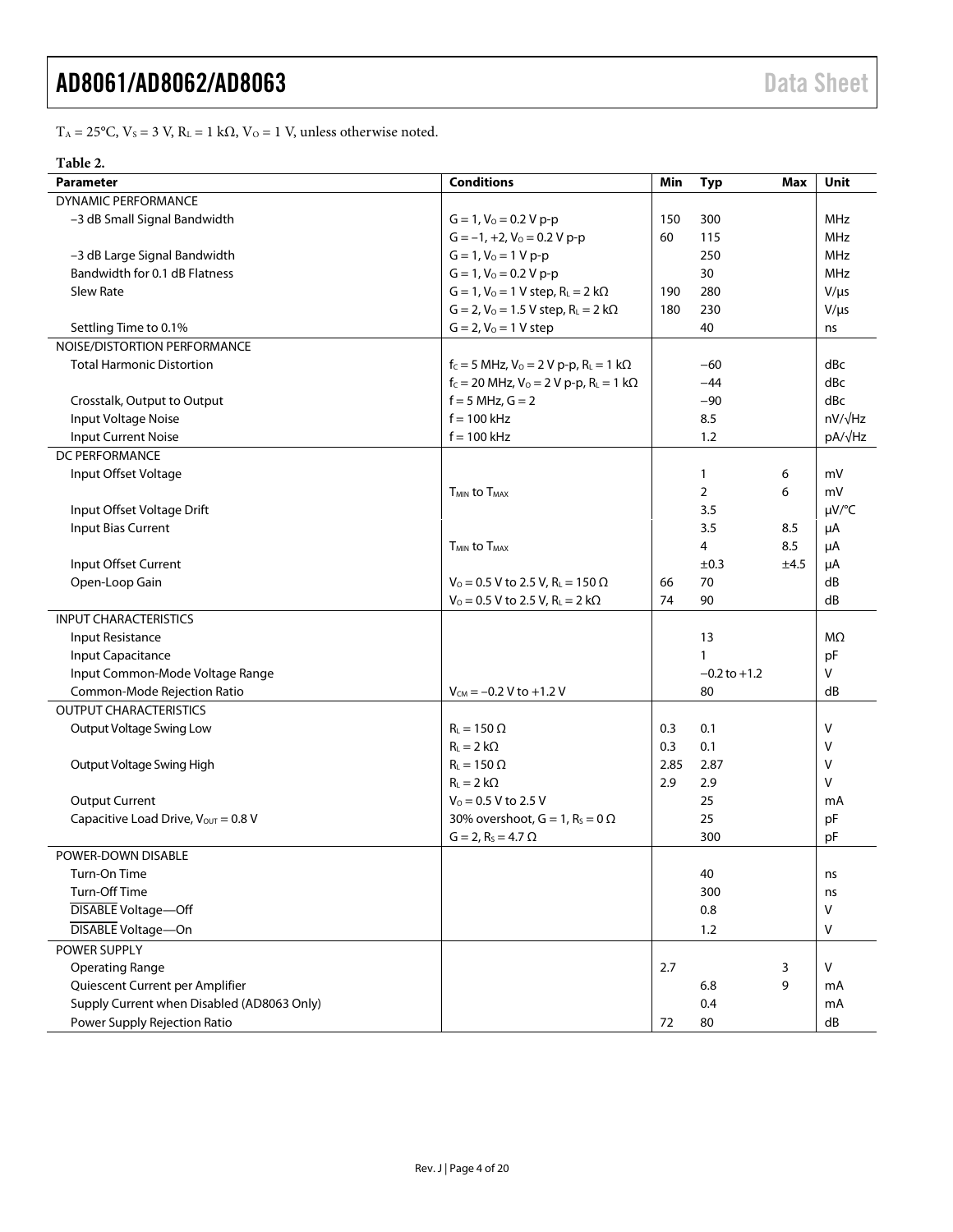T<sub>A</sub> = 25°C, V<sub>S</sub> = 3 V, R<sub>L</sub> = 1 kΩ, V<sub>O</sub> = 1 V, unless otherwise noted.

#### **Table 2.**

| Parameter                                  | <b>Conditions</b>                                             | Min  | <b>Typ</b>       | Max  | Unit           |
|--------------------------------------------|---------------------------------------------------------------|------|------------------|------|----------------|
| <b>DYNAMIC PERFORMANCE</b>                 |                                                               |      |                  |      |                |
| -3 dB Small Signal Bandwidth               | $G = 1$ , $V_0 = 0.2 V p-p$                                   | 150  | 300              |      | MHz            |
|                                            | $G = -1, +2, V_0 = 0.2 V p-p$                                 | 60   | 115              |      | <b>MHz</b>     |
| -3 dB Large Signal Bandwidth               | $G = 1, V_0 = 1 V p-p$                                        |      | 250              |      | <b>MHz</b>     |
| Bandwidth for 0.1 dB Flatness              | $G = 1$ , $V_0 = 0.2 V p-p$                                   |      | 30               |      | <b>MHz</b>     |
| Slew Rate                                  | $G = 1$ , $V_0 = 1$ V step, $R_L = 2$ k $\Omega$              | 190  | 280              |      | $V/\mu s$      |
|                                            | $G = 2$ , $V_0 = 1.5 V$ step, $R_L = 2 k\Omega$               | 180  | 230              |      | $V/\mu s$      |
| Settling Time to 0.1%                      | $G = 2, V_0 = 1 V$ step                                       |      | 40               |      | ns             |
| NOISE/DISTORTION PERFORMANCE               |                                                               |      |                  |      |                |
| <b>Total Harmonic Distortion</b>           | $f_c = 5$ MHz, $V_0 = 2$ V p-p, R <sub>L</sub> = 1 k $\Omega$ |      | -60              |      | dBc            |
|                                            | $f_c = 20$ MHz, $V_0 = 2$ V p-p, $R_L = 1$ k $\Omega$         |      | $-44$            |      | dBc            |
| Crosstalk, Output to Output                | $f = 5$ MHz, $G = 2$                                          |      | $-90$            |      | dBc            |
| Input Voltage Noise                        | $f = 100$ kHz                                                 |      | 8.5              |      | $nV/\sqrt{Hz}$ |
| <b>Input Current Noise</b>                 | $f = 100$ kHz                                                 |      | 1.2              |      | pA/√Hz         |
| <b>DC PERFORMANCE</b>                      |                                                               |      |                  |      |                |
| Input Offset Voltage                       |                                                               |      | 1                | 6    | mV             |
|                                            | <b>TMIN to TMAX</b>                                           |      | $\overline{2}$   | 6    | mV             |
| Input Offset Voltage Drift                 |                                                               |      | 3.5              |      | µV/°C          |
| <b>Input Bias Current</b>                  |                                                               |      | 3.5              | 8.5  | μA             |
|                                            | <b>T<sub>MIN</sub></b> to T <sub>MAX</sub>                    |      | 4                | 8.5  | μA             |
| Input Offset Current                       |                                                               |      | $\pm 0.3$        | ±4.5 | μA             |
| Open-Loop Gain                             | $V_0$ = 0.5 V to 2.5 V, R <sub>L</sub> = 150 $\Omega$         | 66   | 70               |      | dB             |
|                                            | $V_0 = 0.5 V$ to 2.5 V, R <sub>L</sub> = 2 k $\Omega$         | 74   | 90               |      | dB             |
| <b>INPUT CHARACTERISTICS</b>               |                                                               |      |                  |      |                |
| Input Resistance                           |                                                               |      | 13               |      | MΩ             |
| Input Capacitance                          |                                                               |      | 1                |      | pF             |
| Input Common-Mode Voltage Range            |                                                               |      | $-0.2$ to $+1.2$ |      | v              |
| Common-Mode Rejection Ratio                | $V_{CM} = -0.2 V to +1.2 V$                                   |      | 80               |      | dB             |
| <b>OUTPUT CHARACTERISTICS</b>              |                                                               |      |                  |      |                |
| Output Voltage Swing Low                   | $R_L = 150 \Omega$                                            | 0.3  | 0.1              |      | v              |
|                                            | $R_L = 2 k\Omega$                                             | 0.3  | 0.1              |      | v              |
| Output Voltage Swing High                  | $R_L = 150 \Omega$                                            | 2.85 | 2.87             |      | v              |
|                                            | $R_1 = 2 k\Omega$                                             | 2.9  | 2.9              |      | v              |
| <b>Output Current</b>                      | $V_0 = 0.5 V$ to 2.5 V                                        |      | 25               |      | mA             |
| Capacitive Load Drive, Vout = 0.8 V        | 30% overshoot, $G = 1$ , $R_s = 0 \Omega$                     |      | 25               |      | pF             |
|                                            | $G = 2$ , R <sub>s</sub> = 4.7 $\Omega$                       |      | 300              |      | pF             |
| POWER-DOWN DISABLE                         |                                                               |      |                  |      |                |
| Turn-On Time                               |                                                               |      | 40               |      | ns             |
| Turn-Off Time                              |                                                               |      | 300              |      | ns             |
| <b>DISABLE Voltage-Off</b>                 |                                                               |      | 0.8              |      | V              |
| DISABLE Voltage-On                         |                                                               |      | 1.2              |      | ٧              |
| POWER SUPPLY                               |                                                               |      |                  |      |                |
| <b>Operating Range</b>                     |                                                               | 2.7  |                  | 3    | v              |
| Quiescent Current per Amplifier            |                                                               |      | 6.8              | 9    | mA             |
| Supply Current when Disabled (AD8063 Only) |                                                               |      | 0.4              |      | mA             |
| <b>Power Supply Rejection Ratio</b>        |                                                               | 72   | 80               |      | dB             |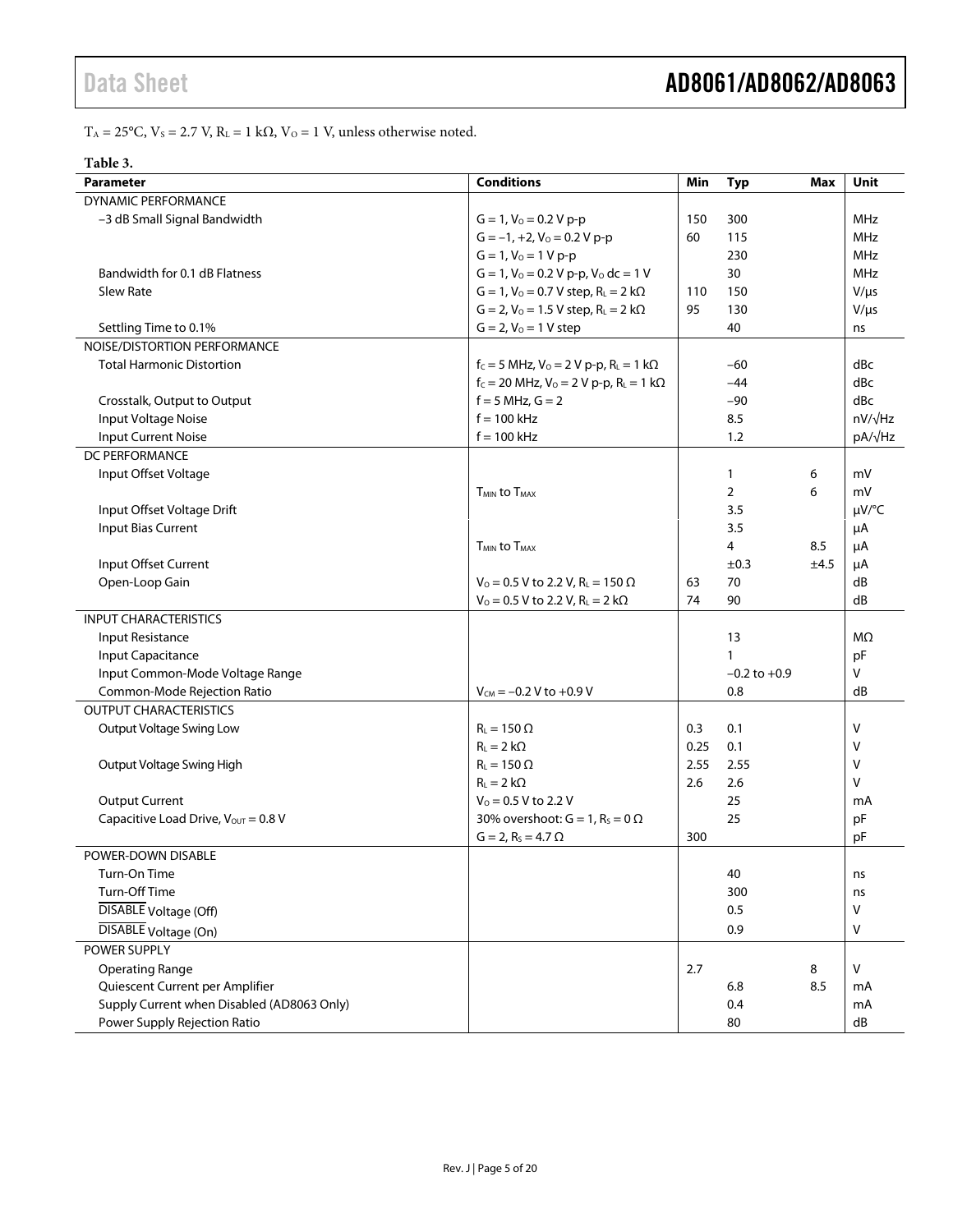T<sub>A</sub> = 25°C, V<sub>S</sub> = 2.7 V, R<sub>L</sub> = 1 kΩ, V<sub>O</sub> = 1 V, unless otherwise noted.

| `able |
|-------|
|-------|

| <b>Parameter</b>                           | <b>Conditions</b>                                     | Min  | <b>Typ</b>       | Max  | Unit           |
|--------------------------------------------|-------------------------------------------------------|------|------------------|------|----------------|
| <b>DYNAMIC PERFORMANCE</b>                 |                                                       |      |                  |      |                |
| -3 dB Small Signal Bandwidth               | $G = 1$ , $V_0 = 0.2 V p-p$                           | 150  | 300              |      | <b>MHz</b>     |
|                                            | $G = -1, +2, V_0 = 0.2 V p-p$                         | 60   | 115              |      | <b>MHz</b>     |
|                                            | $G = 1, V_0 = 1 V p-p$                                |      | 230              |      | <b>MHz</b>     |
| Bandwidth for 0.1 dB Flatness              | $G = 1$ , $V_0 = 0.2 V p-p$ , $V_0 dc = 1 V$          |      | 30               |      | MHz            |
| <b>Slew Rate</b>                           | $G = 1$ , $V_0 = 0.7 V$ step, $R_L = 2 k\Omega$       | 110  | 150              |      | $V/\mu s$      |
|                                            | $G = 2$ , $V_0 = 1.5 V$ step, $R_L = 2 k\Omega$       | 95   | 130              |      | $V/\mu s$      |
| Settling Time to 0.1%                      | $G = 2, V_0 = 1 V$ step                               |      | 40               |      | ns             |
| NOISE/DISTORTION PERFORMANCE               |                                                       |      |                  |      |                |
| <b>Total Harmonic Distortion</b>           | $f_c = 5$ MHz, $V_0 = 2$ V p-p, $R_L = 1$ k $\Omega$  |      | $-60$            |      | dBc            |
|                                            | $f_c = 20$ MHz, $V_0 = 2$ V p-p, $R_L = 1$ k $\Omega$ |      | $-44$            |      | dBc            |
| Crosstalk, Output to Output                | $f = 5$ MHz, $G = 2$                                  |      | $-90$            |      | dBc            |
| Input Voltage Noise                        | $f = 100$ kHz                                         |      | 8.5              |      | $nV/\sqrt{Hz}$ |
| <b>Input Current Noise</b>                 | $f = 100$ kHz                                         |      | 1.2              |      | pA/√Hz         |
| DC PERFORMANCE                             |                                                       |      |                  |      |                |
| Input Offset Voltage                       |                                                       |      | $\mathbf{1}$     | 6    | mV             |
|                                            | <b>TMIN to TMAX</b>                                   |      | $\overline{2}$   | 6    | mV             |
| Input Offset Voltage Drift                 |                                                       |      | 3.5              |      | $\mu V$ /°C    |
| Input Bias Current                         |                                                       |      | 3.5              |      | μA             |
|                                            | <b>TMIN to TMAX</b>                                   |      | 4                | 8.5  | μA             |
| Input Offset Current                       |                                                       |      | $\pm 0.3$        | ±4.5 | μA             |
| Open-Loop Gain                             | $V_0$ = 0.5 V to 2.2 V, R <sub>L</sub> = 150 $\Omega$ | 63   | 70               |      | dB             |
|                                            | $V_0 = 0.5 V$ to 2.2 V, R <sub>L</sub> = 2 k $\Omega$ | 74   | 90               |      | dB             |
| <b>INPUT CHARACTERISTICS</b>               |                                                       |      |                  |      |                |
| Input Resistance                           |                                                       |      | 13               |      | MΩ             |
| Input Capacitance                          |                                                       |      | $\mathbf{1}$     |      | pF             |
| Input Common-Mode Voltage Range            |                                                       |      | $-0.2$ to $+0.9$ |      | V              |
| Common-Mode Rejection Ratio                | $V_{CM} = -0.2 V$ to +0.9 V                           |      | 0.8              |      | dB             |
| <b>OUTPUT CHARACTERISTICS</b>              |                                                       |      |                  |      |                |
| Output Voltage Swing Low                   | $R_L = 150 \Omega$                                    | 0.3  | 0.1              |      | V              |
|                                            | $R_1 = 2 k\Omega$                                     | 0.25 | 0.1              |      | v              |
| Output Voltage Swing High                  | $Ri = 150 \Omega$                                     | 2.55 | 2.55             |      | V              |
|                                            | $R_1 = 2 k\Omega$                                     | 2.6  | 2.6              |      | v              |
| <b>Output Current</b>                      | $V_0$ = 0.5 V to 2.2 V                                |      | 25               |      | mA             |
| Capacitive Load Drive, Vout = 0.8 V        | 30% overshoot: $G = 1$ , $R_s = 0$ $\Omega$           |      | 25               |      | pF             |
|                                            | $G = 2$ , R <sub>s</sub> = 4.7 $\Omega$               | 300  |                  |      | pF             |
| POWER-DOWN DISABLE                         |                                                       |      |                  |      |                |
| Turn-On Time                               |                                                       |      | 40               |      | ns             |
| Turn-Off Time                              |                                                       |      | 300              |      | ns             |
| <b>DISABLE</b> Voltage (Off)               |                                                       |      | 0.5              |      | ٧              |
| DISABLE Voltage (On)                       |                                                       |      | 0.9              |      | ٧              |
| POWER SUPPLY                               |                                                       |      |                  |      |                |
| <b>Operating Range</b>                     |                                                       | 2.7  |                  | 8    | v              |
| Quiescent Current per Amplifier            |                                                       |      | 6.8              | 8.5  | mA             |
| Supply Current when Disabled (AD8063 Only) |                                                       |      | 0.4              |      | mA             |
| Power Supply Rejection Ratio               |                                                       |      | 80               |      | dB             |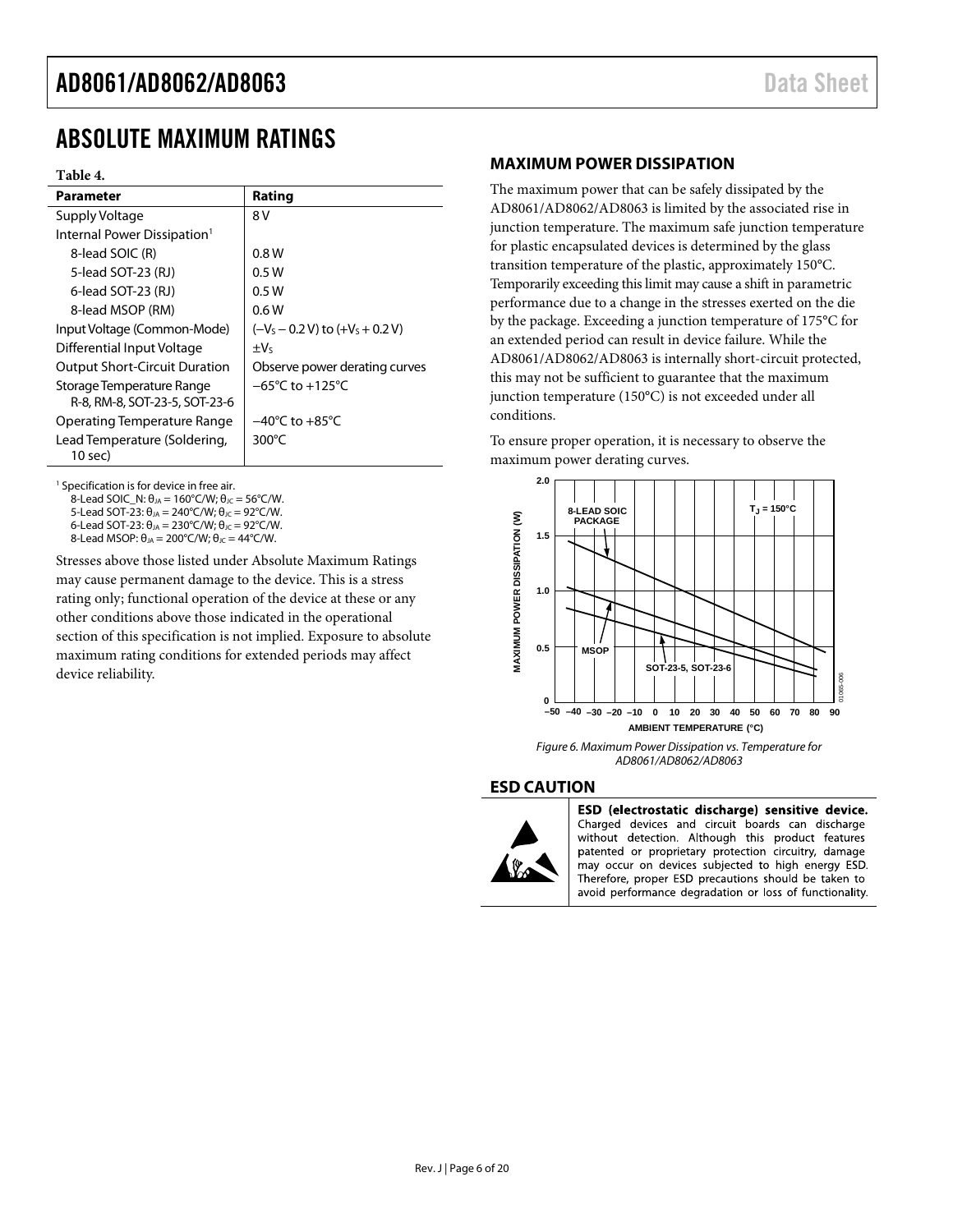### <span id="page-5-0"></span>ABSOLUTE MAXIMUM RATINGS

#### **Table 4.**

| <b>Parameter</b>                                           | Rating                              |
|------------------------------------------------------------|-------------------------------------|
| Supply Voltage                                             | 8 V                                 |
| Internal Power Dissipation <sup>1</sup>                    |                                     |
| 8-lead SOIC (R)                                            | 0.8 W                               |
| 5-lead SOT-23 (RJ)                                         | 0.5W                                |
| 6-lead SOT-23 (RJ)                                         | 0.5W                                |
| 8-lead MSOP (RM)                                           | 0.6W                                |
| Input Voltage (Common-Mode)                                | $(-VS - 0.2 V)$ to $(+VS + 0.2 V)$  |
| Differential Input Voltage                                 | $\pm V_5$                           |
| <b>Output Short-Circuit Duration</b>                       | Observe power derating curves       |
| Storage Temperature Range<br>R-8, RM-8, SOT-23-5, SOT-23-6 | $-65^{\circ}$ C to $+125^{\circ}$ C |
| Operating Temperature Range                                | $-40^{\circ}$ C to $+85^{\circ}$ C  |
| Lead Temperature (Soldering,<br>10 sec)                    | 300 $\degree$ C                     |

<sup>1</sup> Specification is for device in free air.

8-Lead SOIC\_N:  $\theta_{JA} = 160^{\circ}$ C/W;  $\theta_{JC} = 56^{\circ}$ C/W.

5-Lead SOT-23:  $\theta_{JA} = 240^{\circ}$ C/W;  $\theta_{JC} = 92^{\circ}$ C/W.

6-Lead SOT-23:  $θ_{JA} = 230°C/W$ ;  $θ_{JC} = 92°C/W$ . 8-Lead MSOP:  $θ<sub>JA</sub> = 200°C/W; θ<sub>JC</sub> = 44°C/W.$ 

Stresses above those listed under Absolute Maximum Ratings may cause permanent damage to the device. This is a stress rating only; functional operation of the device at these or any other conditions above those indicated in the operational section of this specification is not implied. Exposure to absolute maximum rating conditions for extended periods may affect device reliability.

#### <span id="page-5-1"></span>**MAXIMUM POWER DISSIPATION**

The maximum power that can be safely dissipated by the AD8061/AD8062/AD8063 is limited by the associated rise in junction temperature. The maximum safe junction temperature for plastic encapsulated devices is determined by the glass transition temperature of the plastic, approximately 150°C. Temporarily exceeding this limit may cause a shift in parametric performance due to a change in the stresses exerted on the die by the package. Exceeding a junction temperature of 175°C for an extended period can result in device failure. While the AD8061/AD8062/AD8063 is internally short-circuit protected, this may not be sufficient to guarantee that the maximum junction temperature (150°C) is not exceeded under all conditions.

To ensure proper operation, it is necessary to observe the maximum power derating curves.



*Figure 6. Maximum Power Dissipation vs. Temperature for AD8061/AD8062/AD8063*

#### <span id="page-5-2"></span>**ESD CAUTION**



ESD (electrostatic discharge) sensitive device. Charged devices and circuit boards can discharge without detection. Although this product features patented or proprietary protection circuitry, damage may occur on devices subjected to high energy ESD. Therefore, proper ESD precautions should be taken to avoid performance degradation or loss of functionality.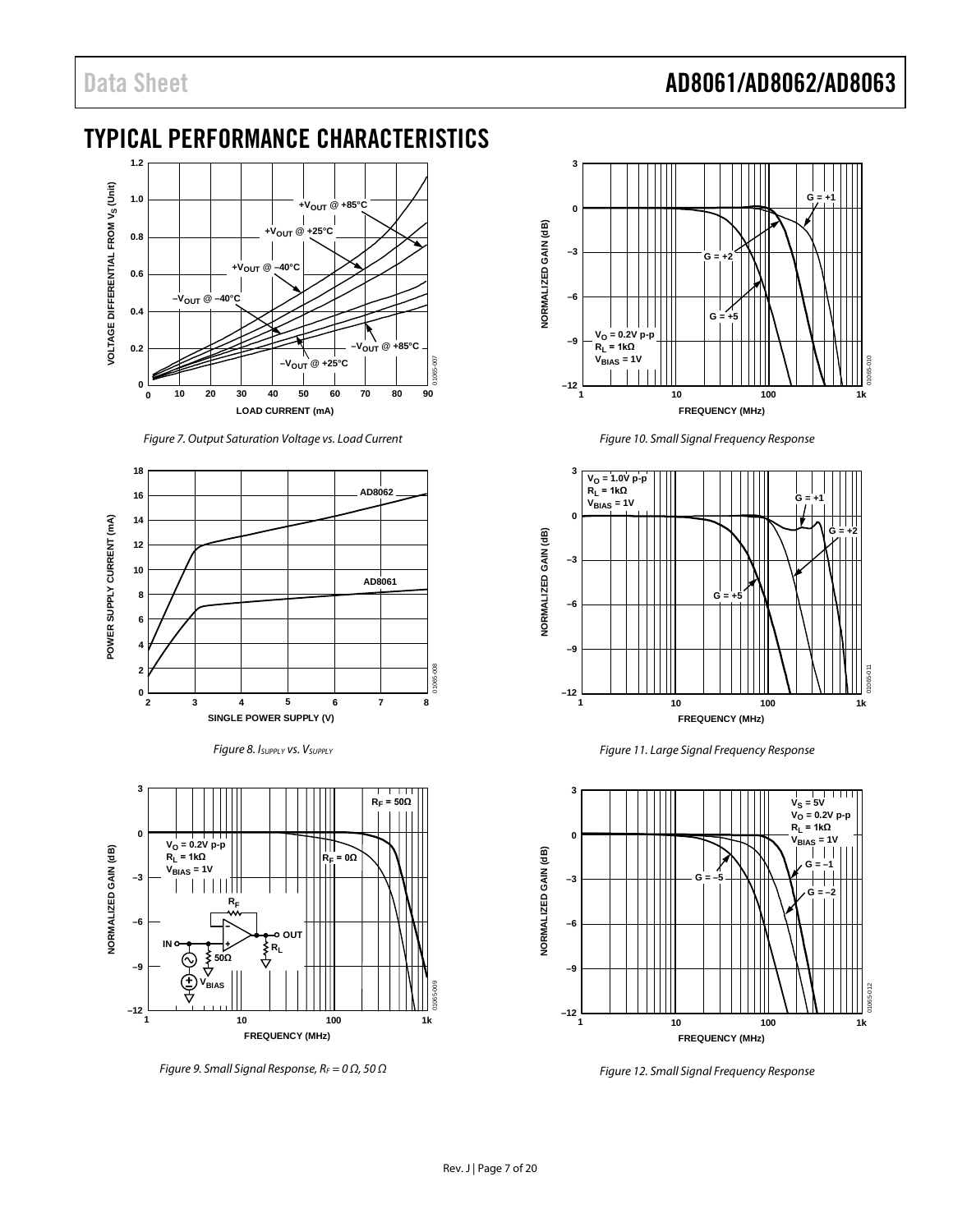### Data Sheet **AD8061/AD8062/AD8063**

### <span id="page-6-0"></span>TYPICAL PERFORMANCE CHARACTERISTICS



*Figure 7. Output Saturation Voltage vs. Load Current*







*Figure 9. Small Signal Response, RF = 0 Ω, 50 Ω*



*Figure 10. Small Signal Frequency Response*



*Figure 11. Large Signal Frequency Response*



*Figure 12. Small Signal Frequency Response*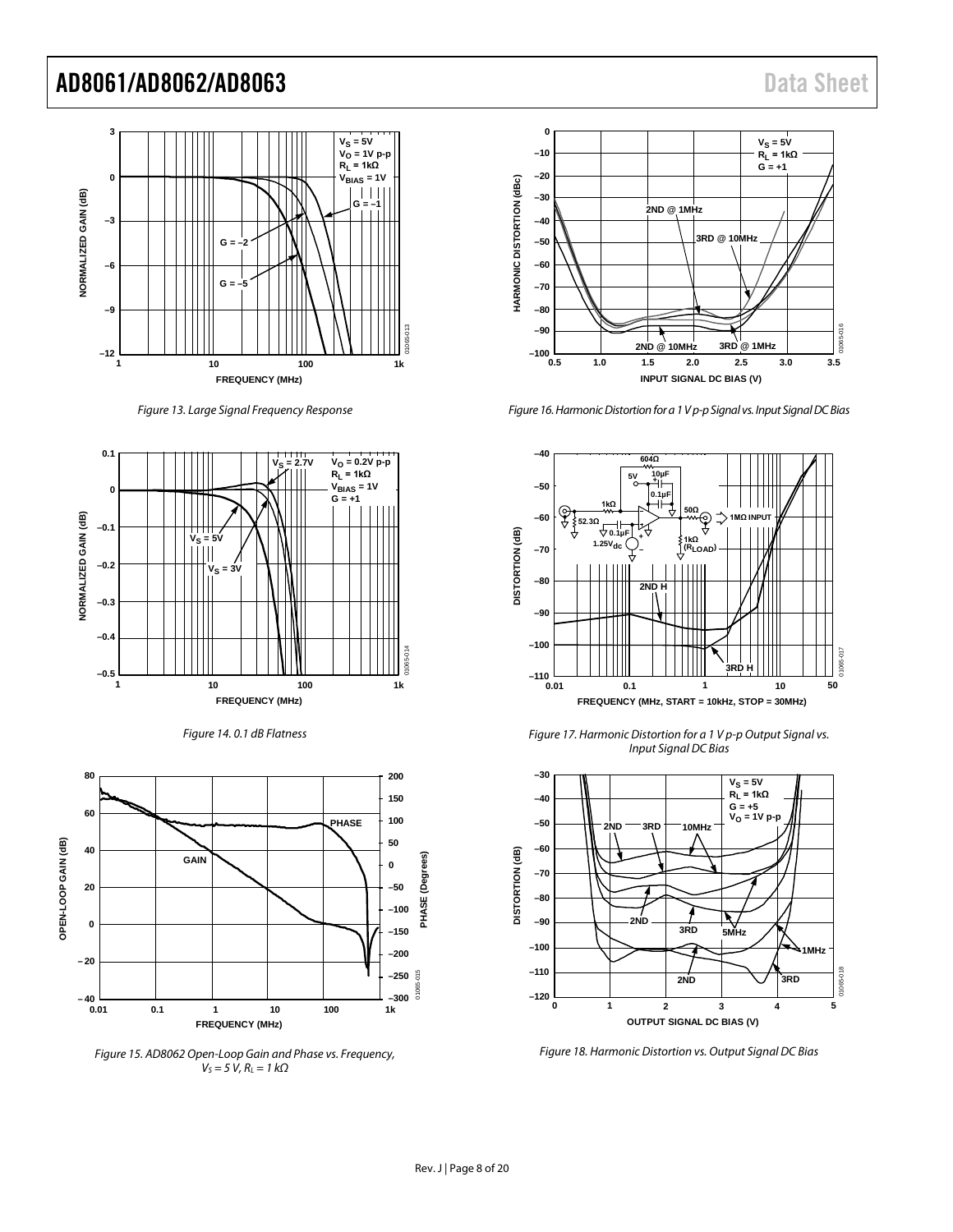

*Figure 13. Large Signal Frequency Response*







*Figure 15. AD8062 Open-Loop Gain and Phase vs. Frequency,*  $V_S$  = 5  $V$ *, R<sub>L</sub>* = 1 kΩ



<span id="page-7-0"></span>*Figure 16. Harmonic Distortion for a 1 V p-p Signal vs. Input Signal DC Bias*



*Figure 17. Harmonic Distortion for a 1 V p-p Output Signal vs. Input Signal DC Bias*

<span id="page-7-1"></span>

<span id="page-7-2"></span>*Figure 18. Harmonic Distortion vs. Output Signal DC Bias*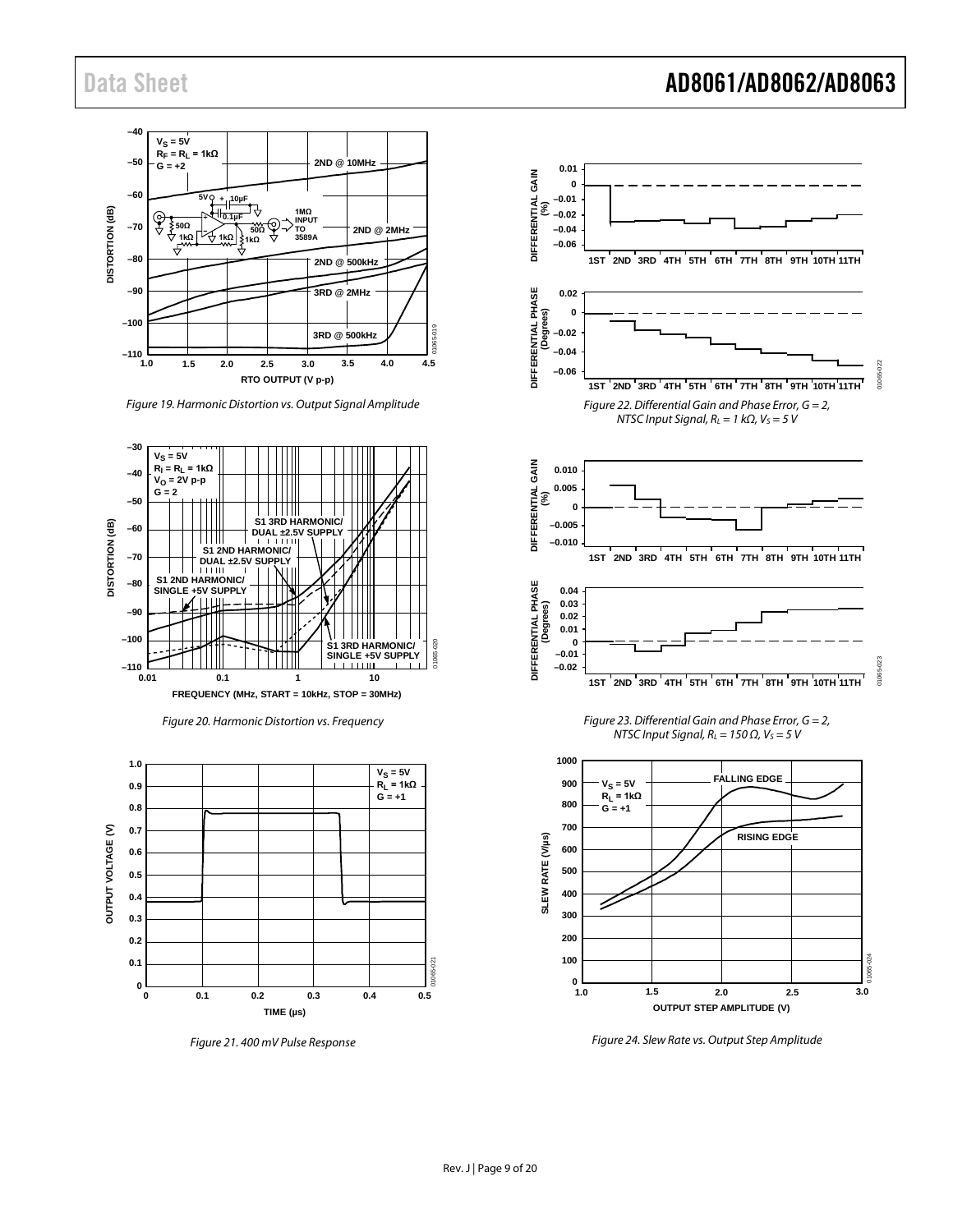

*Figure 19. Harmonic Distortion vs. Output Signal Amplitude*







*Figure 21. 400 mV Pulse Response*



*Figure 24. Slew Rate vs. Output Step Amplitude*

### Data Sheet **AD8061/AD8062/AD8063**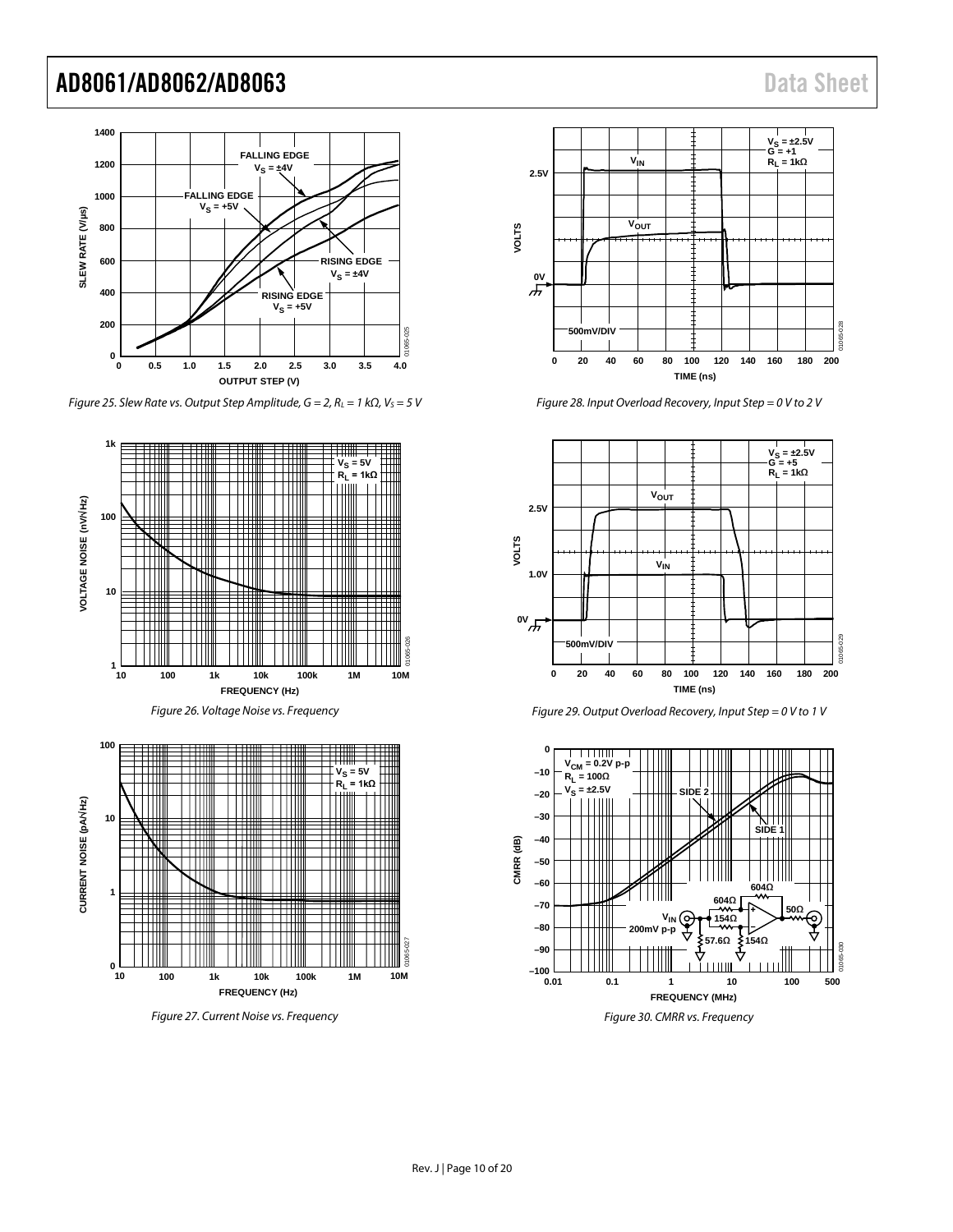

*Figure 25. Slew Rate vs. Output Step Amplitude, G = 2, RL = 1 kΩ, VS = 5 V*



*Figure 27. Current Noise vs. Frequency*



*Figure 28. Input Overload Recovery, Input Step = 0 V to 2 V*



*Figure 29. Output Overload Recovery, Input Step = 0 V to 1 V*

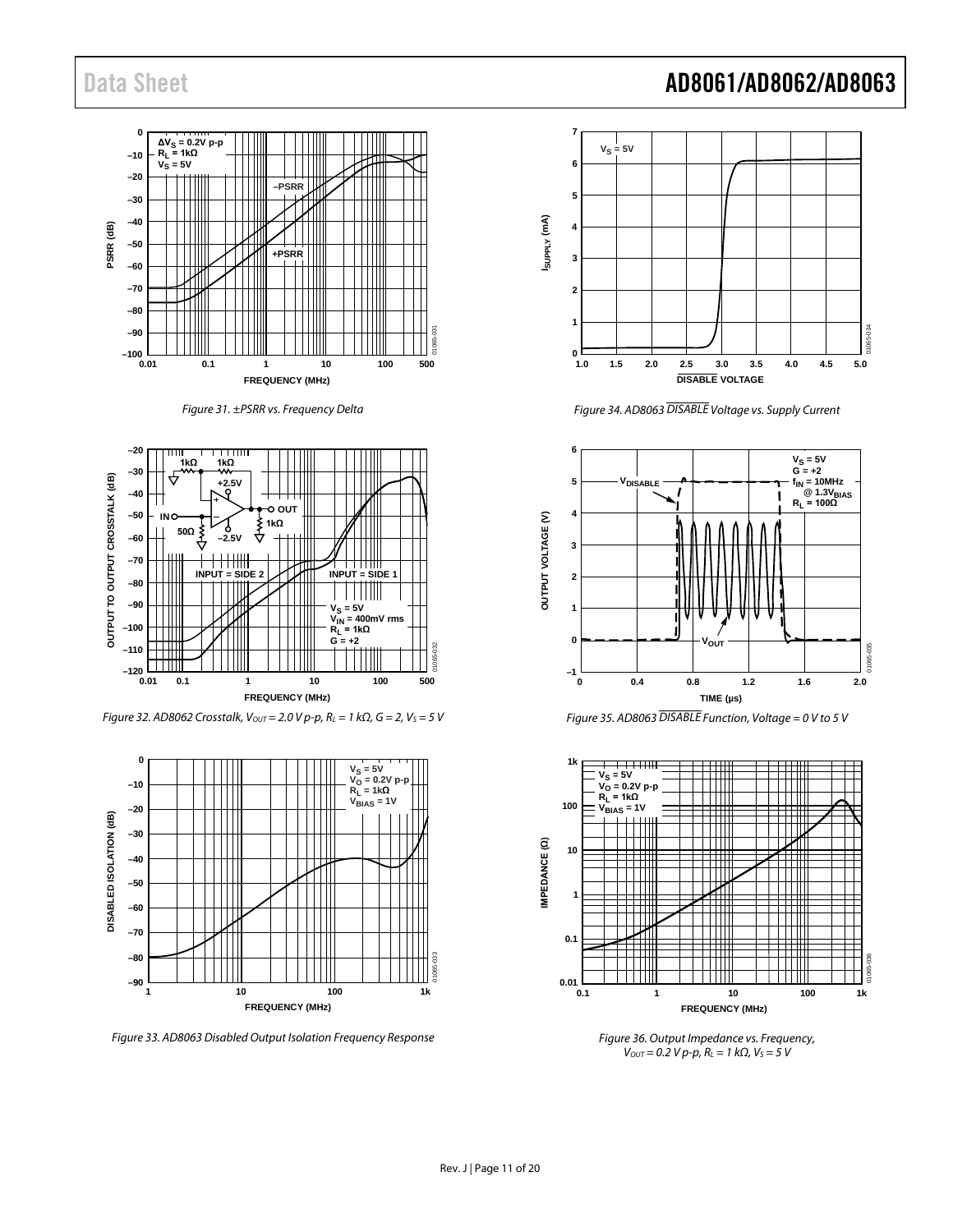









<span id="page-10-2"></span>*Figure 33. AD8063 Disabled Output Isolation Frequency Response*

### Data Sheet **AD8061/AD8062/AD8063**



*Figure 34. AD8063 DISABLE Voltage vs. Supply Current*

<span id="page-10-0"></span>



<span id="page-10-1"></span>

*Figure 36. Output Impedance vs. Frequency, V<sub>OUT</sub>* = 0.2 *V p-p, R<sub>L</sub>* = 1 *kΩ, V<sub>S</sub>* = 5 *V*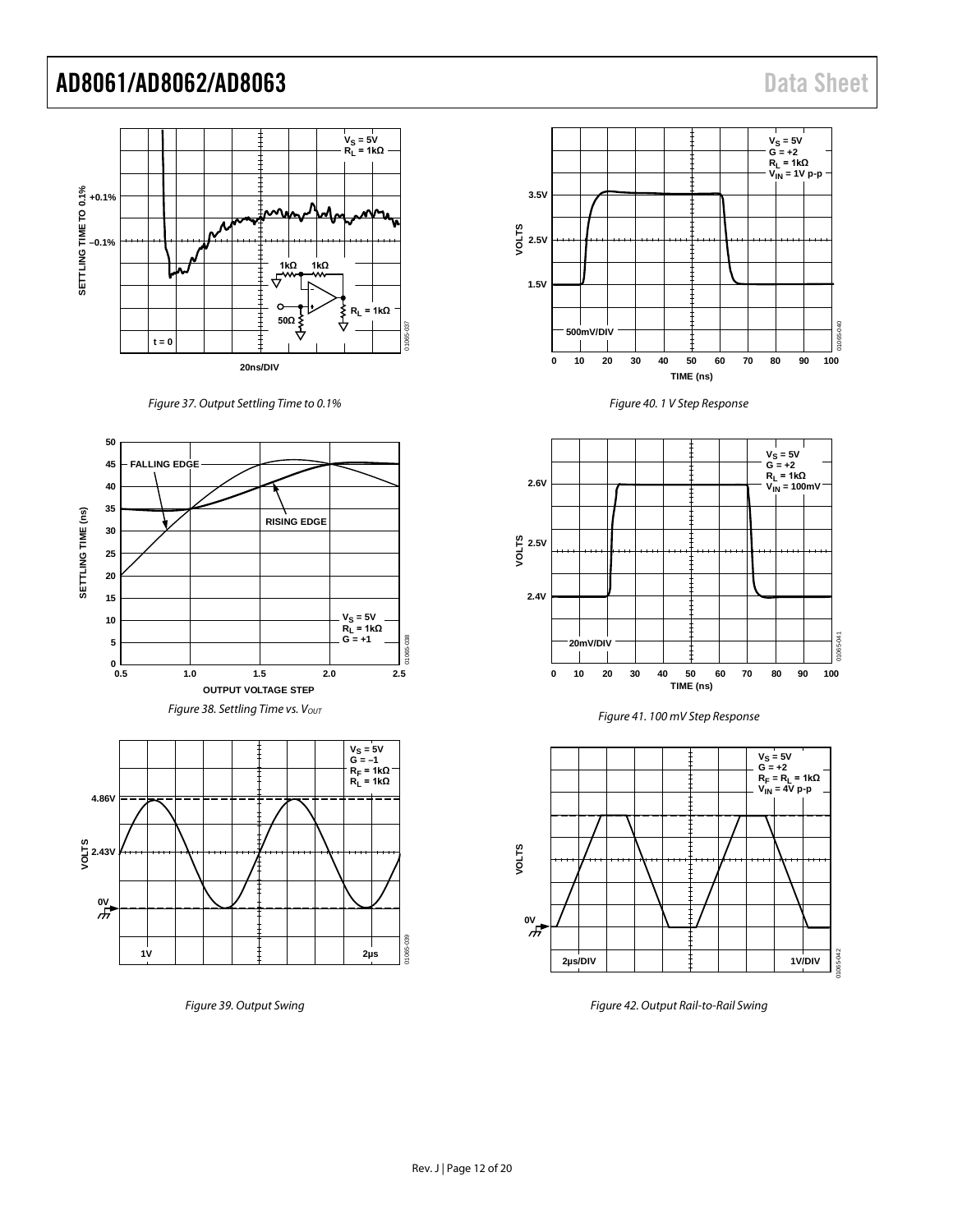







*Figure 39. Output Swing*









*Figure 42. Output Rail-to-Rail Swing*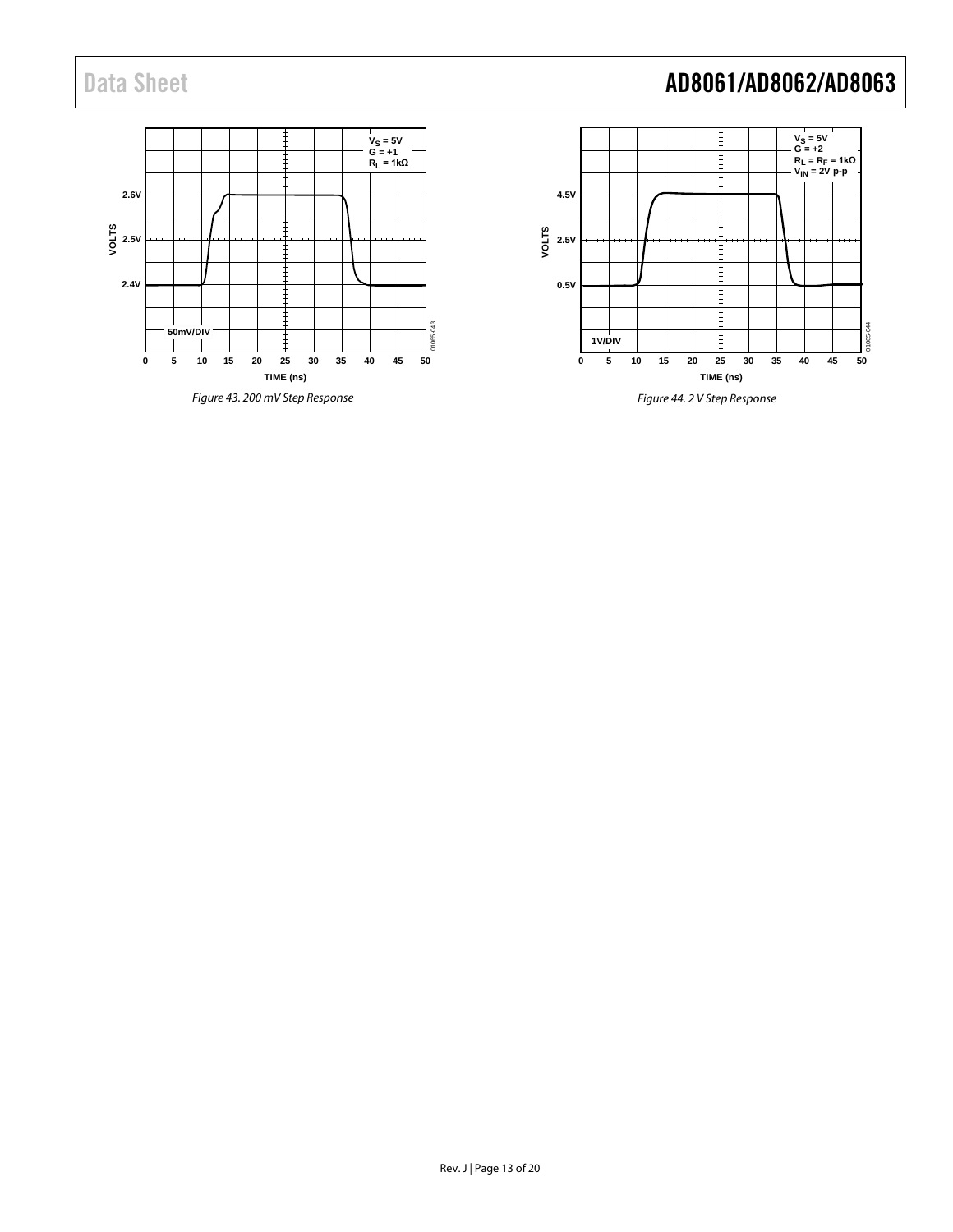### **V<sub>S</sub> = 5V<br>G = +1<br>R<sub>L</sub> = 1kΩ 2.6V** p<br>0<br>><br>> **2.4V** 1065-043 **50mV/DIV** 01065-043 **15 20 25 30 35 0 5 10 40 45 50 TIME (ns)**

*Figure 43. 200 mV Step Response*

## Data Sheet **AD8061/AD8062/AD8063**



*Figure 44. 2 V Step Response*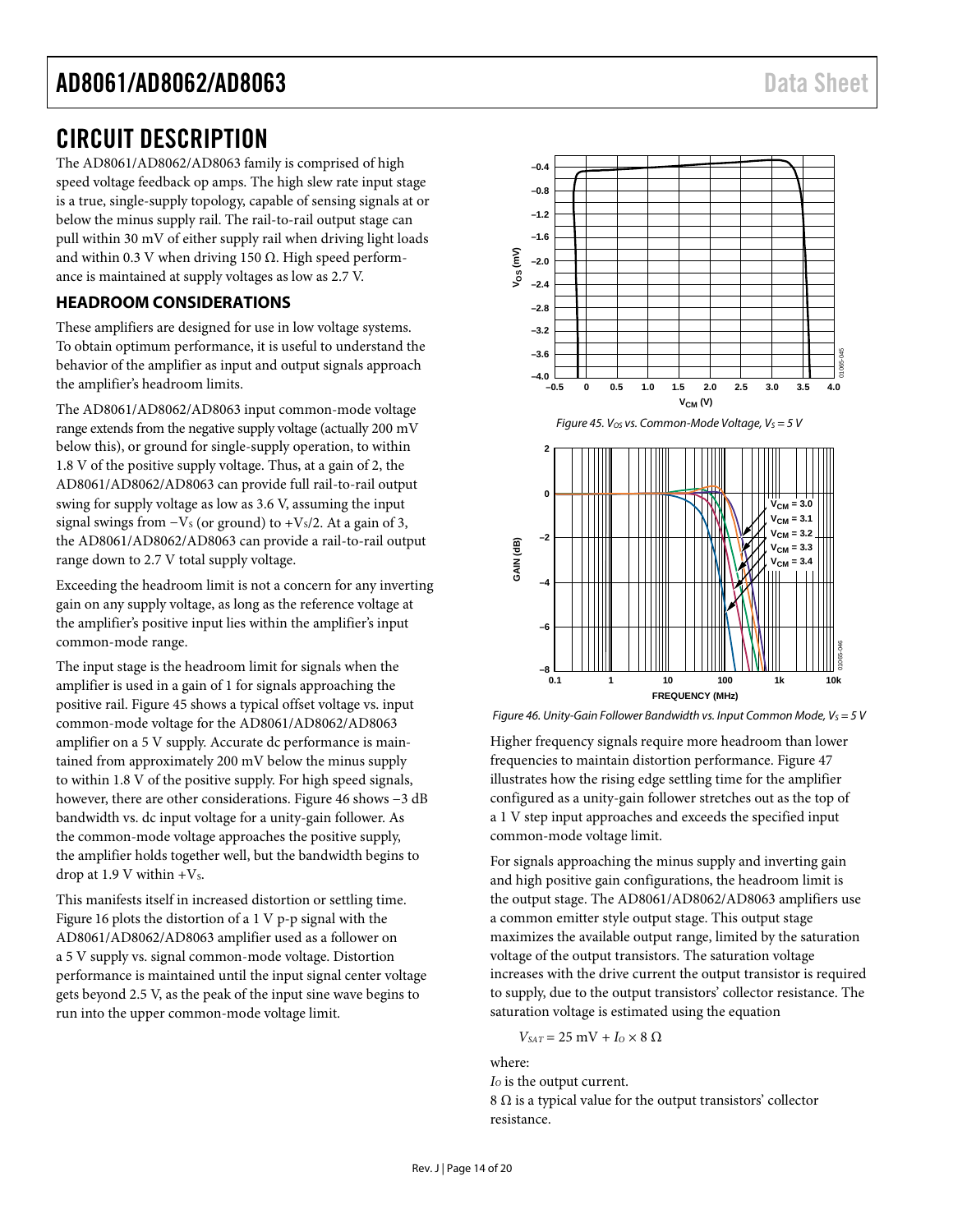### <span id="page-13-0"></span>CIRCUIT DESCRIPTION

The AD8061/AD8062/AD8063 family is comprised of high speed voltage feedback op amps. The high slew rate input stage is a true, single-supply topology, capable of sensing signals at or below the minus supply rail. The rail-to-rail output stage can pull within 30 mV of either supply rail when driving light loads and within 0.3 V when driving 150  $Ω$ . High speed performance is maintained at supply voltages as low as 2.7 V.

#### <span id="page-13-1"></span>**HEADROOM CONSIDERATIONS**

These amplifiers are designed for use in low voltage systems. To obtain optimum performance, it is useful to understand the behavior of the amplifier as input and output signals approach the amplifier's headroom limits.

The AD8061/AD8062/AD8063 input common-mode voltage range extends from the negative supply voltage (actually 200 mV below this), or ground for single-supply operation, to within 1.8 V of the positive supply voltage. Thus, at a gain of 2, the AD8061/AD8062/AD8063 can provide full rail-to-rail output swing for supply voltage as low as 3.6 V, assuming the input signal swings from  $-V<sub>S</sub>$  (or ground) to +V<sub>s</sub>/2. At a gain of 3, the AD8061/AD8062/AD8063 can provide a rail-to-rail output range down to 2.7 V total supply voltage.

Exceeding the headroom limit is not a concern for any inverting gain on any supply voltage, as long as the reference voltage at the amplifier's positive input lies within the amplifier's input common-mode range.

The input stage is the headroom limit for signals when the amplifier is used in a gain of 1 for signals approaching the positive rail[. Figure 45](#page-13-2) shows a typical offset voltage vs. input common-mode voltage for the AD8061/AD8062/AD8063 amplifier on a 5 V supply. Accurate dc performance is maintained from approximately 200 mV below the minus supply to within 1.8 V of the positive supply. For high speed signals, however, there are other considerations. [Figure 46](#page-13-3) shows −3 dB bandwidth vs. dc input voltage for a unity-gain follower. As the common-mode voltage approaches the positive supply, the amplifier holds together well, but the bandwidth begins to drop at 1.9 V within  $+V_s$ .

This manifests itself in increased distortion or settling time. [Figure 16](#page-7-0) plots the distortion of a 1 V p-p signal with the AD8061/AD8062/AD8063 amplifier used as a follower on a 5 V supply vs. signal common-mode voltage. Distortion performance is maintained until the input signal center voltage gets beyond 2.5 V, as the peak of the input sine wave begins to run into the upper common-mode voltage limit.

<span id="page-13-2"></span>

<span id="page-13-3"></span>

Higher frequency signals require more headroom than lower frequencies to maintain distortion performance[. Figure 47](#page-14-1) illustrates how the rising edge settling time for the amplifier configured as a unity-gain follower stretches out as the top of a 1 V step input approaches and exceeds the specified input common-mode voltage limit.

For signals approaching the minus supply and inverting gain and high positive gain configurations, the headroom limit is the output stage. The AD8061/AD8062/AD8063 amplifiers use a common emitter style output stage. This output stage maximizes the available output range, limited by the saturation voltage of the output transistors. The saturation voltage increases with the drive current the output transistor is required to supply, due to the output transistors' collector resistance. The saturation voltage is estimated using the equation

$$
V_{\text{SAT}} = 25 \text{ mV} + I_0 \times 8 \text{ }\Omega
$$

where: *I*<sub>o</sub> is the output current. 8  $\Omega$  is a typical value for the output transistors' collector resistance.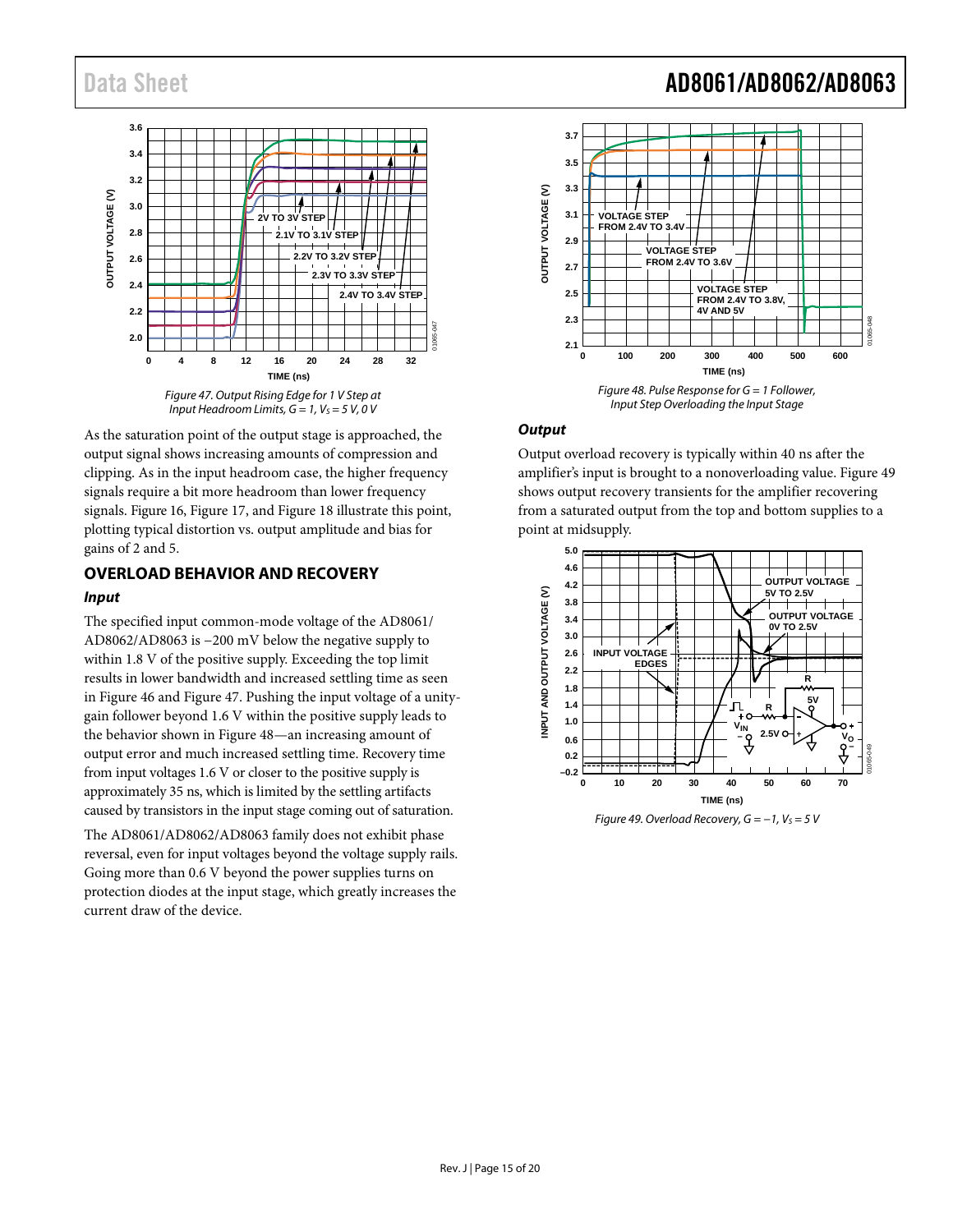

<span id="page-14-1"></span>As the saturation point of the output stage is approached, the output signal shows increasing amounts of compression and clipping. As in the input headroom case, the higher frequency signals require a bit more headroom than lower frequency signals. [Figure 16,](#page-7-0) [Figure 17,](#page-7-1) an[d Figure 18](#page-7-2) illustrate this point, plotting typical distortion vs. output amplitude and bias for gains of 2 and 5.

#### <span id="page-14-0"></span>**OVERLOAD BEHAVIOR AND RECOVERY** *Input*

The specified input common-mode voltage of the AD8061/ AD8062/AD8063 is −200 mV below the negative supply to within 1.8 V of the positive supply. Exceeding the top limit results in lower bandwidth and increased settling time as seen in [Figure 46](#page-13-3) and [Figure 47.](#page-14-1) Pushing the input voltage of a unitygain follower beyond 1.6 V within the positive supply leads to the behavior shown i[n Figure 48—](#page-14-2)an increasing amount of output error and much increased settling time. Recovery time from input voltages 1.6 V or closer to the positive supply is approximately 35 ns, which is limited by the settling artifacts caused by transistors in the input stage coming out of saturation.

The AD8061/AD8062/AD8063 family does not exhibit phase reversal, even for input voltages beyond the voltage supply rails. Going more than 0.6 V beyond the power supplies turns on protection diodes at the input stage, which greatly increases the current draw of the device.

## Data Sheet **AD8061/AD8062/AD8063**



#### <span id="page-14-2"></span>*Output*

Output overload recovery is typically within 40 ns after the amplifier's input is brought to a nonoverloading value. [Figure 49](#page-14-3) shows output recovery transients for the amplifier recovering from a saturated output from the top and bottom supplies to a point at midsupply.

<span id="page-14-3"></span>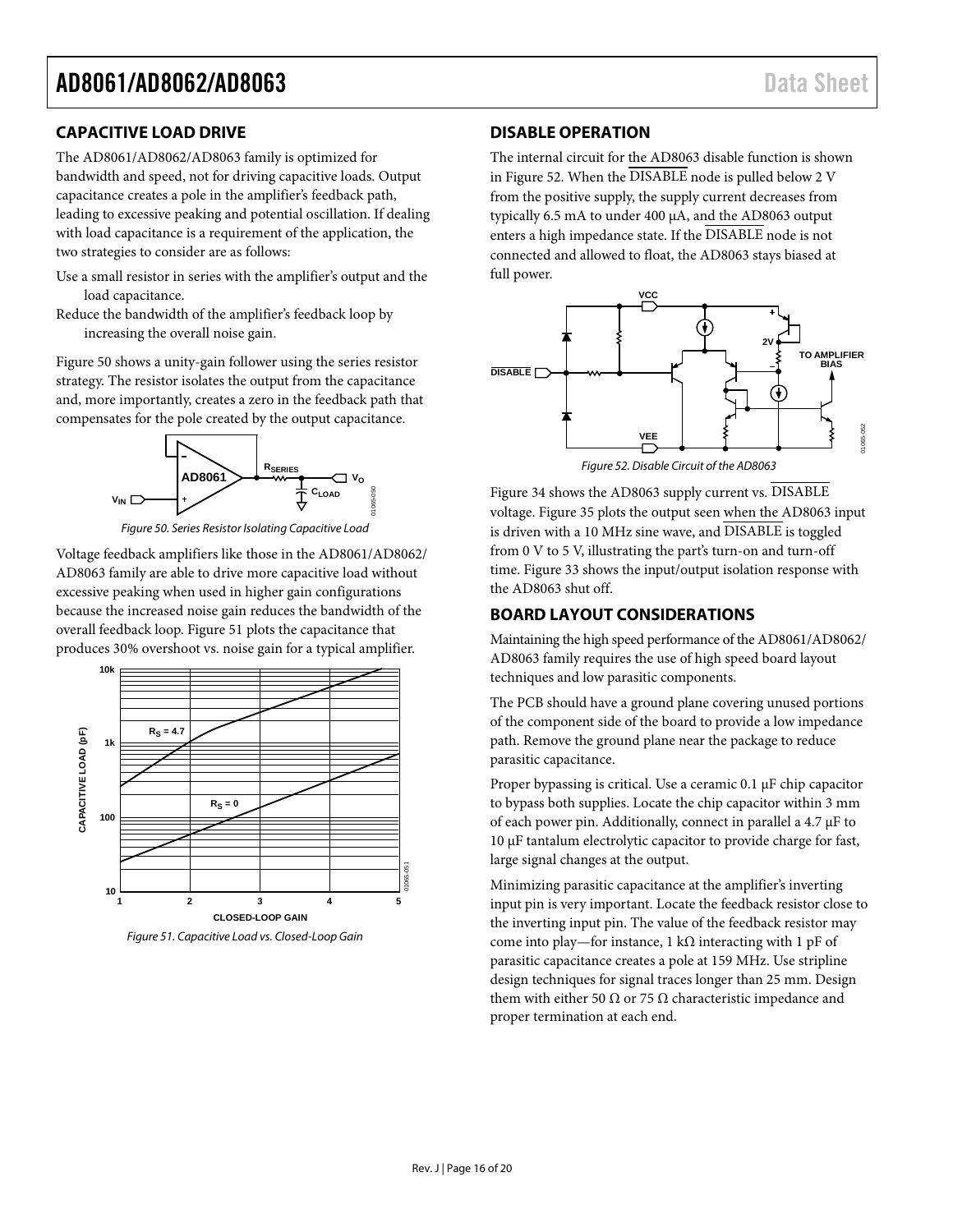### <span id="page-15-0"></span>**CAPACITIVE LOAD DRIVE**

The AD8061/AD8062/AD8063 family is optimized for bandwidth and speed, not for driving capacitive loads. Output capacitance creates a pole in the amplifier's feedback path, leading to excessive peaking and potential oscillation. If dealing with load capacitance is a requirement of the application, the two strategies to consider are as follows:

- Use a small resistor in series with the amplifier's output and the load capacitance.
- Reduce the bandwidth of the amplifier's feedback loop by increasing the overall noise gain.

[Figure 50](#page-15-3) shows a unity-gain follower using the series resistor strategy. The resistor isolates the output from the capacitance and, more importantly, creates a zero in the feedback path that compensates for the pole created by the output capacitance.



*Figure 50. Series Resistor Isolating Capacitive Load*

<span id="page-15-3"></span>Voltage feedback amplifiers like those in the AD8061/AD8062/ AD8063 family are able to drive more capacitive load without excessive peaking when used in higher gain configurations because the increased noise gain reduces the bandwidth of the overall feedback loop[. Figure 51](#page-15-4) plots the capacitance that produces 30% overshoot vs. noise gain for a typical amplifier.



<span id="page-15-4"></span>*Figure 51. Capacitive Load vs. Closed-Loop Gain*

#### <span id="page-15-1"></span>**DISABLE OPERATION**

The internal circuit for the AD8063 disable function is shown in [Figure 52.](#page-15-5) When the DISABLE node is pulled below 2 V from the positive supply, the supply current decreases from typically 6.5 mA to under 400 µA, and the AD8063 output enters a high impedance state. If the DISABLE node is not connected and allowed to float, the AD8063 stays biased at full power.



<span id="page-15-5"></span>[Figure 34](#page-10-0) shows the AD8063 supply current vs. DISABLE voltage[. Figure 35](#page-10-1) plots the output seen when the AD8063 input is driven with a 10 MHz sine wave, and DISABLE is toggled from 0 V to 5 V, illustrating the part's turn-on and turn-off time[. Figure 33](#page-10-2) shows the input/output isolation response with the AD8063 shut off.

#### <span id="page-15-2"></span>**BOARD LAYOUT CONSIDERATIONS**

Maintaining the high speed performance of the AD8061/AD8062/ AD8063 family requires the use of high speed board layout techniques and low parasitic components.

The PCB should have a ground plane covering unused portions of the component side of the board to provide a low impedance path. Remove the ground plane near the package to reduce parasitic capacitance.

Proper bypassing is critical. Use a ceramic 0.1 µF chip capacitor to bypass both supplies. Locate the chip capacitor within 3 mm of each power pin. Additionally, connect in parallel a 4.7 µF to 10 µF tantalum electrolytic capacitor to provide charge for fast, large signal changes at the output.

Minimizing parasitic capacitance at the amplifier's inverting input pin is very important. Locate the feedback resistor close to the inverting input pin. The value of the feedback resistor may come into play—for instance, 1 kΩ interacting with 1 pF of parasitic capacitance creates a pole at 159 MHz. Use stripline design techniques for signal traces longer than 25 mm. Design them with either 50 Ω or 75 Ω characteristic impedance and proper termination at each end.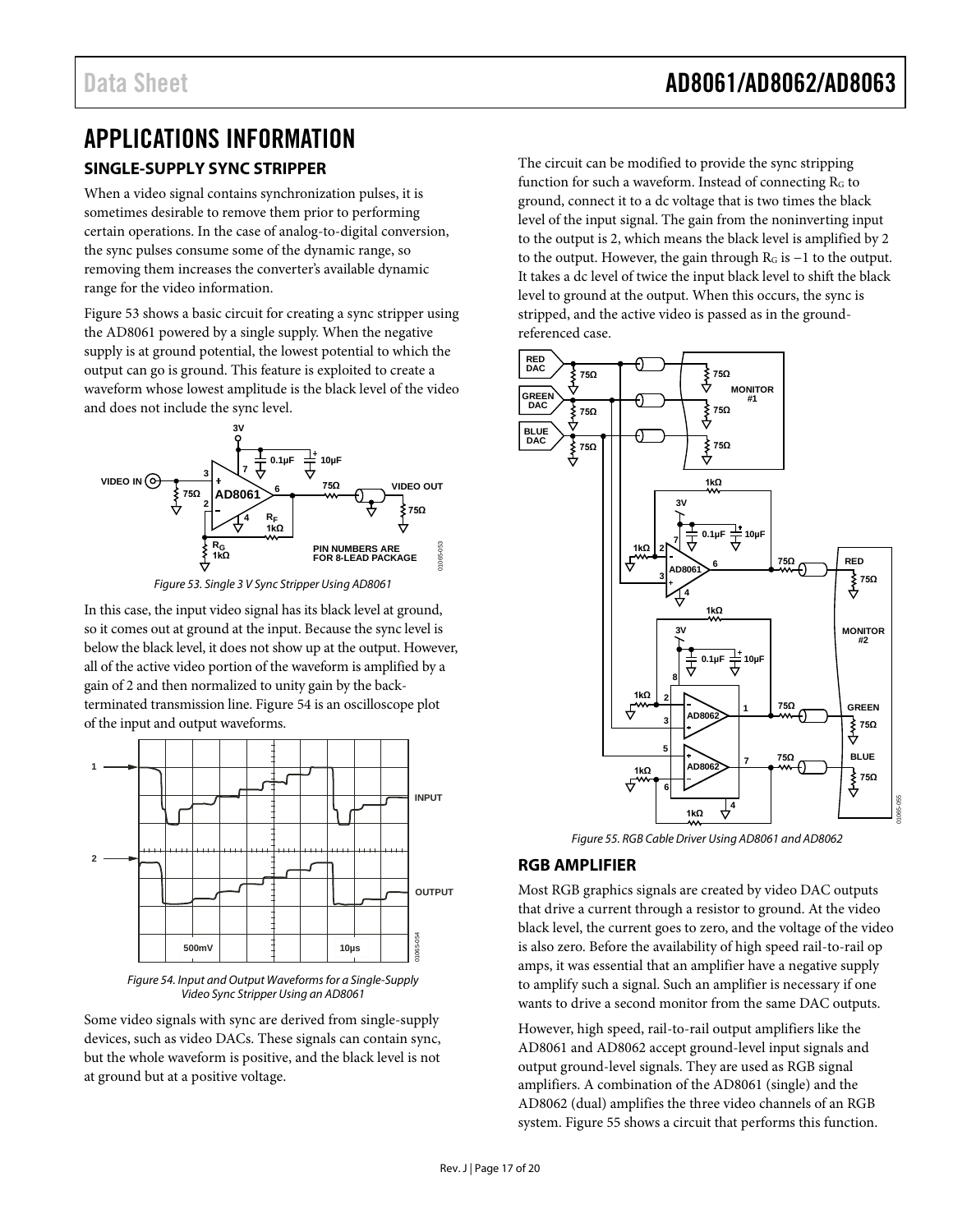### <span id="page-16-1"></span><span id="page-16-0"></span>APPLICATIONS INFORMATION **SINGLE-SUPPLY SYNC STRIPPER**

When a video signal contains synchronization pulses, it is sometimes desirable to remove them prior to performing certain operations. In the case of analog-to-digital conversion, the sync pulses consume some of the dynamic range, so removing them increases the converter's available dynamic range for the video information.

[Figure 53](#page-16-3) shows a basic circuit for creating a sync stripper using the AD8061 powered by a single supply. When the negative supply is at ground potential, the lowest potential to which the output can go is ground. This feature is exploited to create a waveform whose lowest amplitude is the black level of the video and does not include the sync level.



*Figure 53. Single 3 V Sync Stripper Using AD8061*

<span id="page-16-3"></span>In this case, the input video signal has its black level at ground, so it comes out at ground at the input. Because the sync level is below the black level, it does not show up at the output. However, all of the active video portion of the waveform is amplified by a gain of 2 and then normalized to unity gain by the backterminated transmission line[. Figure 54](#page-16-4) is an oscilloscope plot of the input and output waveforms.



<span id="page-16-4"></span>*Figure 54. Input and Output Waveforms for a Single-Supply Video Sync Stripper Using an AD8061*

Some video signals with sync are derived from single-supply devices, such as video DACs. These signals can contain sync, but the whole waveform is positive, and the black level is not at ground but at a positive voltage.

The circuit can be modified to provide the sync stripping function for such a waveform. Instead of connecting  $R<sub>G</sub>$  to ground, connect it to a dc voltage that is two times the black level of the input signal. The gain from the noninverting input to the output is 2, which means the black level is amplified by 2 to the output. However, the gain through RG is −1 to the output. It takes a dc level of twice the input black level to shift the black level to ground at the output. When this occurs, the sync is stripped, and the active video is passed as in the groundreferenced case.



*Figure 55. RGB Cable Driver Using AD8061 and AD8062*

### <span id="page-16-5"></span><span id="page-16-2"></span>**RGB AMPLIFIER**

Most RGB graphics signals are created by video DAC outputs that drive a current through a resistor to ground. At the video black level, the current goes to zero, and the voltage of the video is also zero. Before the availability of high speed rail-to-rail op amps, it was essential that an amplifier have a negative supply to amplify such a signal. Such an amplifier is necessary if one wants to drive a second monitor from the same DAC outputs.

However, high speed, rail-to-rail output amplifiers like the AD8061 and AD8062 accept ground-level input signals and output ground-level signals. They are used as RGB signal amplifiers. A combination of the AD8061 (single) and the AD8062 (dual) amplifies the three video channels of an RGB system[. Figure 55](#page-16-5) shows a circuit that performs this function.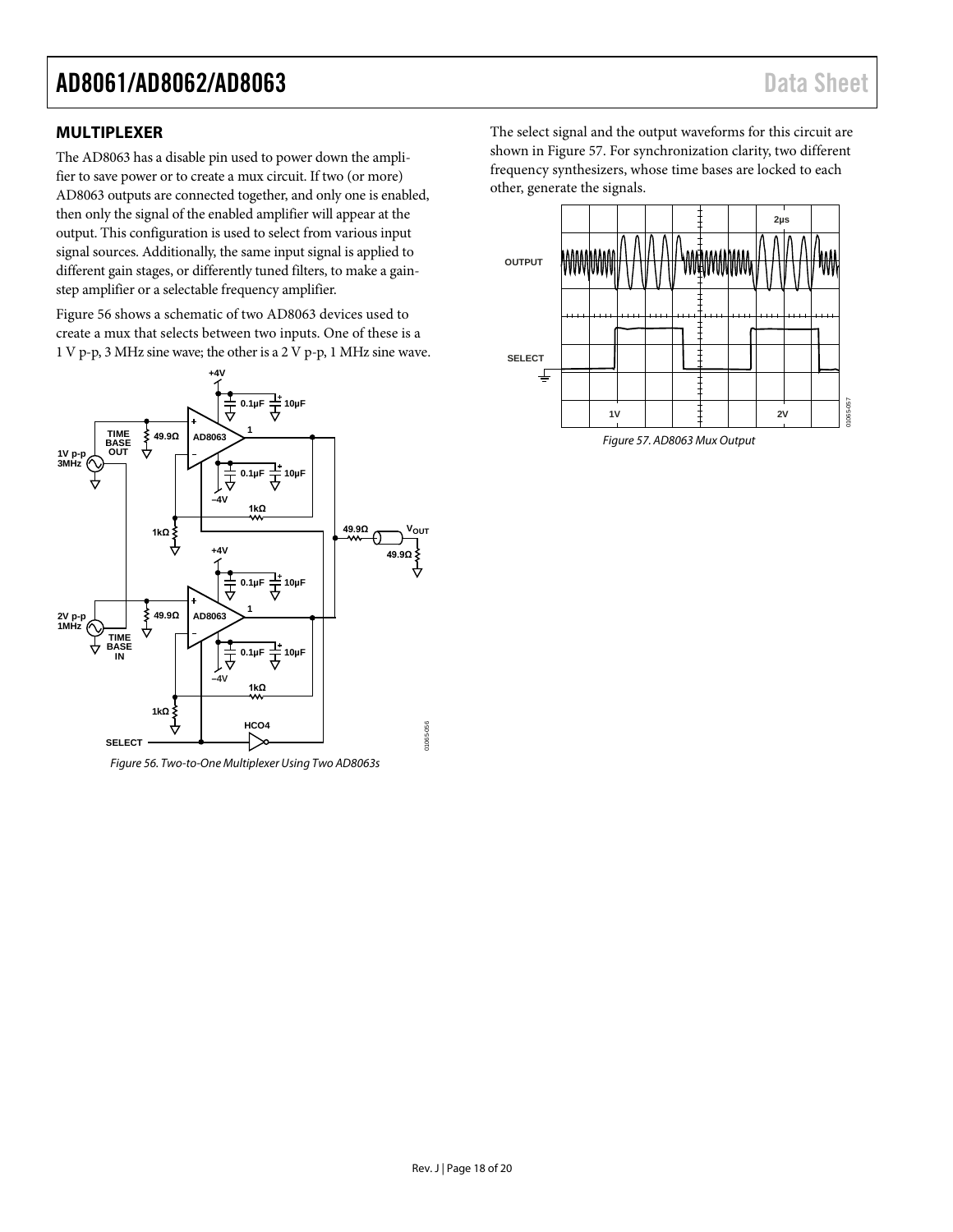#### <span id="page-17-0"></span>**MULTIPLEXER**

The AD8063 has a disable pin used to power down the amplifier to save power or to create a mux circuit. If two (or more) AD8063 outputs are connected together, and only one is enabled, then only the signal of the enabled amplifier will appear at the output. This configuration is used to select from various input signal sources. Additionally, the same input signal is applied to different gain stages, or differently tuned filters, to make a gainstep amplifier or a selectable frequency amplifier.

[Figure 56](#page-17-1) shows a schematic of two AD8063 devices used to create a mux that selects between two inputs. One of these is a 1 V p-p, 3 MHz sine wave; the other is a 2 V p-p, 1 MHz sine wave.



<span id="page-17-1"></span>*Figure 56. Two-to-One Multiplexer Using Two AD8063s*

The select signal and the output waveforms for this circuit are shown in [Figure 57.](#page-17-2) For synchronization clarity, two different frequency synthesizers, whose time bases are locked to each other, generate the signals.



<span id="page-17-2"></span>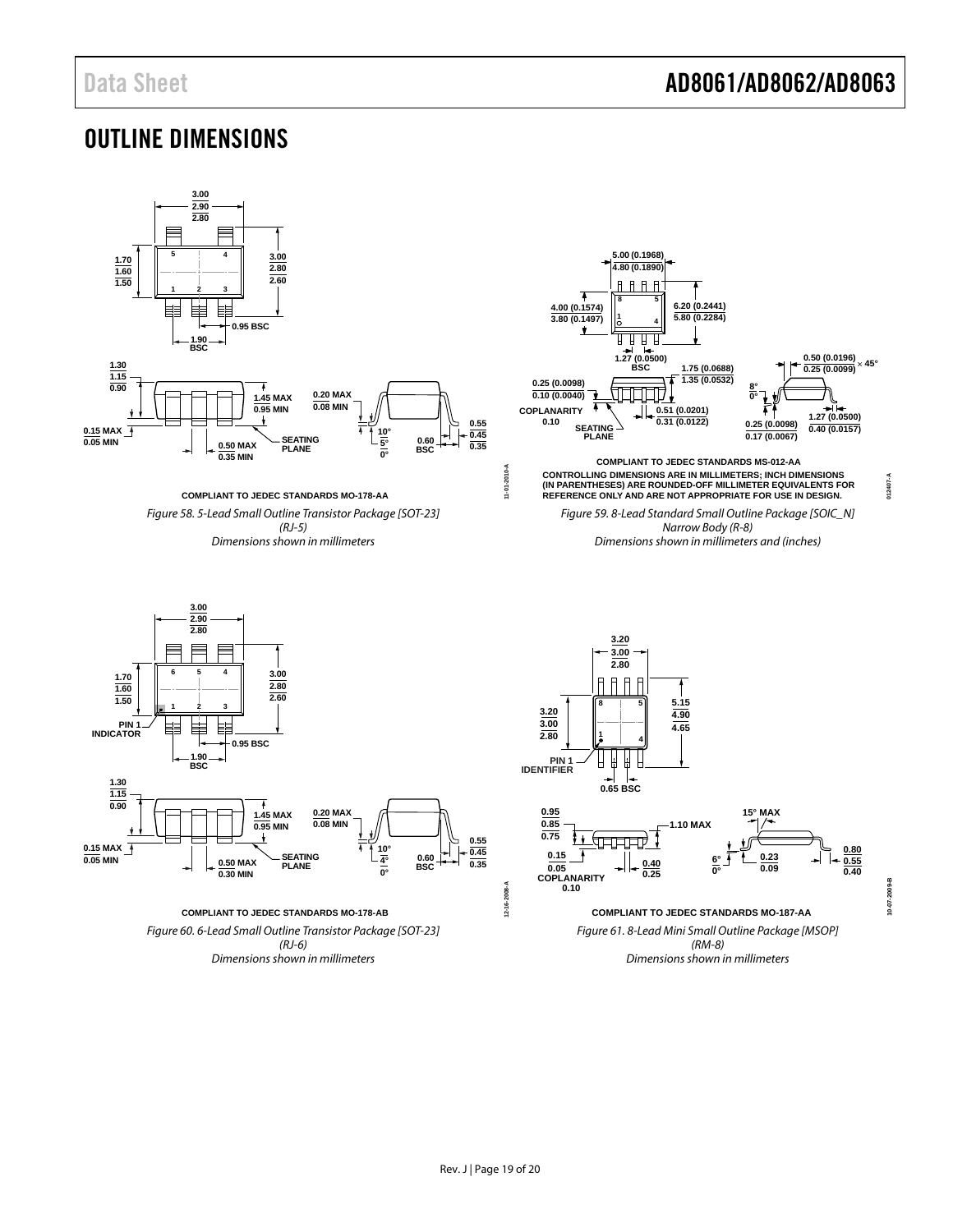### <span id="page-18-0"></span>OUTLINE DIMENSIONS